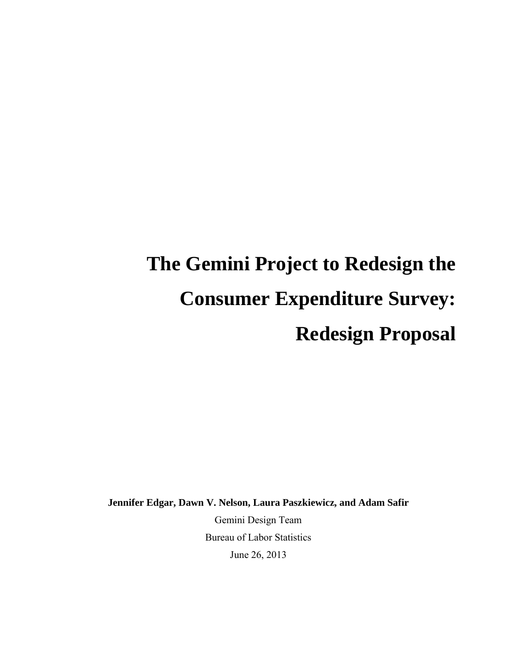# **The Gemini Project to Redesign the Consumer Expenditure Survey: Redesign Proposal**

**Jennifer Edgar, Dawn V. Nelson, Laura Paszkiewicz, and Adam Safir** 

Gemini Design Team Bureau of Labor Statistics June 26, 2013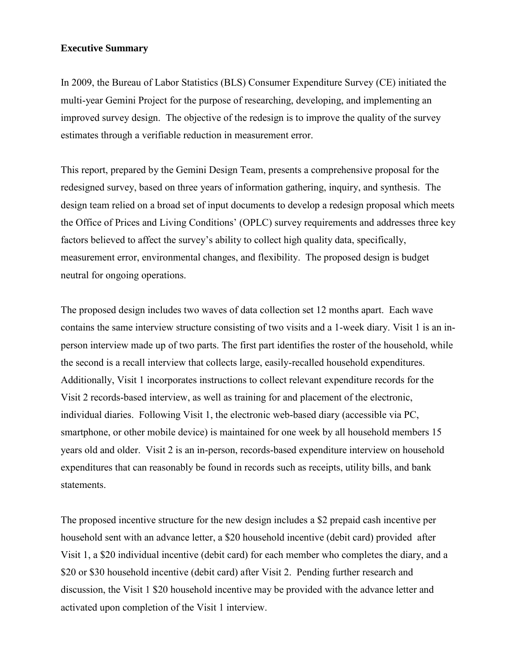## **Executive Summary**

In 2009, the Bureau of Labor Statistics (BLS) Consumer Expenditure Survey (CE) initiated the multi-year Gemini Project for the purpose of researching, developing, and implementing an improved survey design. The objective of the redesign is to improve the quality of the survey estimates through a verifiable reduction in measurement error.

This report, prepared by the Gemini Design Team, presents a comprehensive proposal for the redesigned survey, based on three years of information gathering, inquiry, and synthesis. The design team relied on a broad set of input documents to develop a redesign proposal which meets the Office of Prices and Living Conditions' (OPLC) survey requirements and addresses three key factors believed to affect the survey's ability to collect high quality data, specifically, measurement error, environmental changes, and flexibility. The proposed design is budget neutral for ongoing operations.

The proposed design includes two waves of data collection set 12 months apart. Each wave contains the same interview structure consisting of two visits and a 1-week diary. Visit 1 is an inperson interview made up of two parts. The first part identifies the roster of the household, while the second is a recall interview that collects large, easily-recalled household expenditures. Additionally, Visit 1 incorporates instructions to collect relevant expenditure records for the Visit 2 records-based interview, as well as training for and placement of the electronic, individual diaries. Following Visit 1, the electronic web-based diary (accessible via PC, smartphone, or other mobile device) is maintained for one week by all household members 15 years old and older. Visit 2 is an in-person, records-based expenditure interview on household expenditures that can reasonably be found in records such as receipts, utility bills, and bank statements.

The proposed incentive structure for the new design includes a \$2 prepaid cash incentive per household sent with an advance letter, a \$20 household incentive (debit card) provided after Visit 1, a \$20 individual incentive (debit card) for each member who completes the diary, and a \$20 or \$30 household incentive (debit card) after Visit 2. Pending further research and discussion, the Visit 1 \$20 household incentive may be provided with the advance letter and activated upon completion of the Visit 1 interview.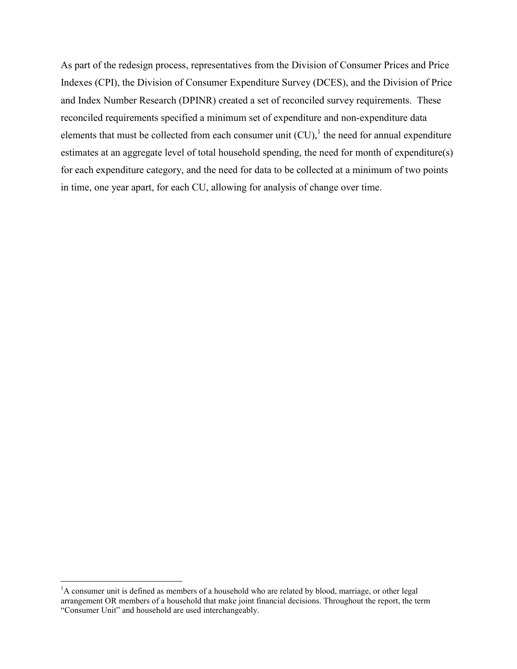As part of the redesign process, representatives from the Division of Consumer Prices and Price Indexes (CPI), the Division of Consumer Expenditure Survey (DCES), and the Division of Price and Index Number Research (DPINR) created a set of reconciled survey requirements. These reconciled requirements specified a minimum set of expenditure and non-expenditure data elements that must be collected from each consumer unit  $(CU)$ , the need for annual expenditure estimates at an aggregate level of total household spending, the need for month of expenditure(s) for each expenditure category, and the need for data to be collected at a minimum of two points in time, one year apart, for each CU, allowing for analysis of change over time.

 $\overline{a}$ <sup>1</sup>A consumer unit is defined as members of a household who are related by blood, marriage, or other legal arrangement OR members of a household that make joint financial decisions. Throughout the report, the term "Consumer Unit" and household are used interchangeably.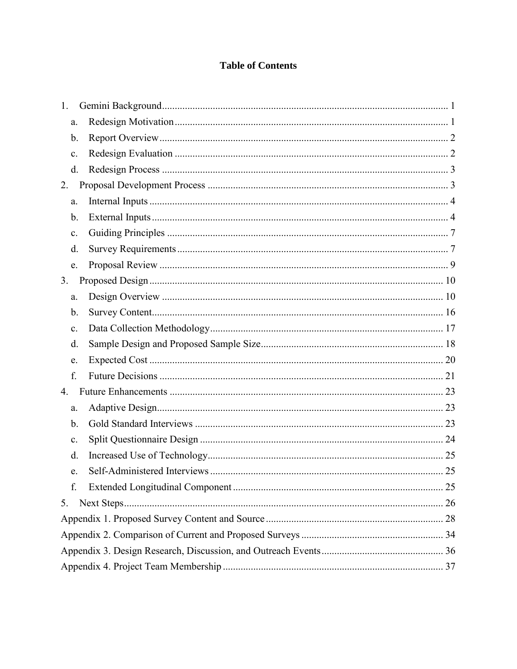# **Table of Contents**

| 1.             |  |  |  |  |  |
|----------------|--|--|--|--|--|
| a.             |  |  |  |  |  |
| b.             |  |  |  |  |  |
| $\mathbf{c}$ . |  |  |  |  |  |
| d.             |  |  |  |  |  |
| 2.             |  |  |  |  |  |
| a.             |  |  |  |  |  |
| b.             |  |  |  |  |  |
| $\mathbf{c}$ . |  |  |  |  |  |
| d.             |  |  |  |  |  |
| e.             |  |  |  |  |  |
| 3.             |  |  |  |  |  |
| a.             |  |  |  |  |  |
| b.             |  |  |  |  |  |
| $\mathbf{c}$ . |  |  |  |  |  |
| d.             |  |  |  |  |  |
| e.             |  |  |  |  |  |
| f.             |  |  |  |  |  |
| 4.             |  |  |  |  |  |
| a.             |  |  |  |  |  |
| b.             |  |  |  |  |  |
| c.             |  |  |  |  |  |
| d.             |  |  |  |  |  |
| e.             |  |  |  |  |  |
| f.             |  |  |  |  |  |
| 5.             |  |  |  |  |  |
|                |  |  |  |  |  |
|                |  |  |  |  |  |
|                |  |  |  |  |  |
|                |  |  |  |  |  |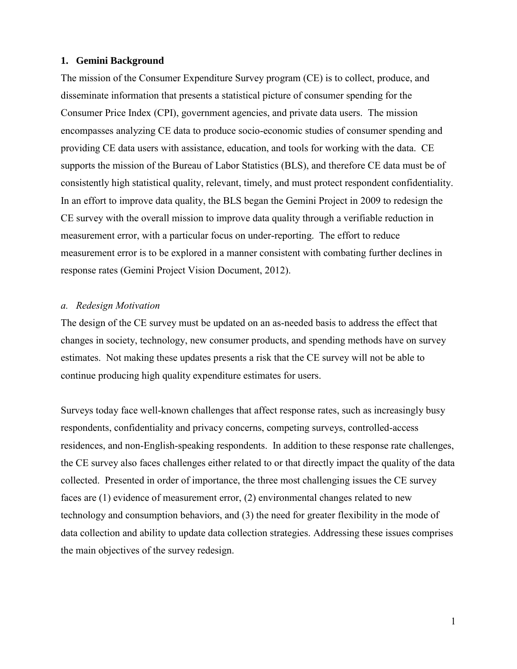#### <span id="page-4-0"></span>**1. Gemini Background**

The mission of the Consumer Expenditure Survey program (CE) is to collect, produce, and disseminate information that presents a statistical picture of consumer spending for the Consumer Price Index (CPI), government agencies, and private data users. The mission encompasses analyzing CE data to produce socio-economic studies of consumer spending and providing CE data users with assistance, education, and tools for working with the data. CE supports the mission of the Bureau of Labor Statistics (BLS), and therefore CE data must be of consistently high statistical quality, relevant, timely, and must protect respondent confidentiality. In an effort to improve data quality, the BLS began the Gemini Project in 2009 to redesign the CE survey with the overall mission to improve data quality through a verifiable reduction in measurement error, with a particular focus on under-reporting. The effort to reduce measurement error is to be explored in a manner consistent with combating further declines in response rates (Gemini Project Vision Document, 2012).

#### <span id="page-4-1"></span>*a. Redesign Motivation*

The design of the CE survey must be updated on an as-needed basis to address the effect that changes in society, technology, new consumer products, and spending methods have on survey estimates. Not making these updates presents a risk that the CE survey will not be able to continue producing high quality expenditure estimates for users.

Surveys today face well-known challenges that affect response rates, such as increasingly busy respondents, confidentiality and privacy concerns, competing surveys, controlled-access residences, and non-English-speaking respondents. In addition to these response rate challenges, the CE survey also faces challenges either related to or that directly impact the quality of the data collected. Presented in order of importance, the three most challenging issues the CE survey faces are (1) evidence of measurement error, (2) environmental changes related to new technology and consumption behaviors, and (3) the need for greater flexibility in the mode of data collection and ability to update data collection strategies. Addressing these issues comprises the main objectives of the survey redesign.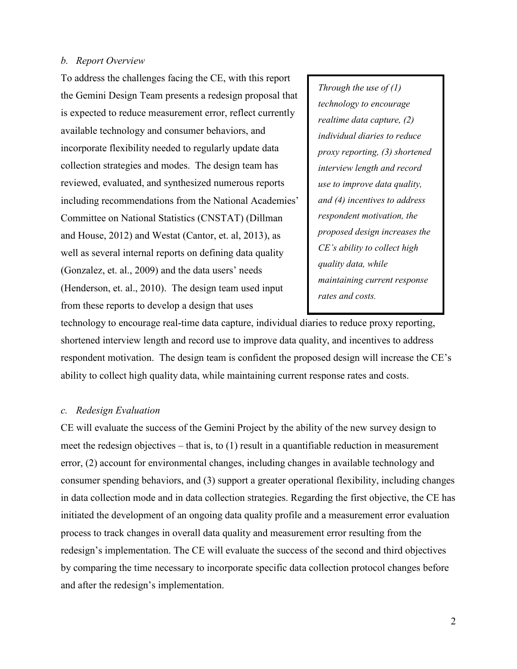#### <span id="page-5-0"></span>*b. Report Overview*

To address the challenges facing the CE, with this report the Gemini Design Team presents a redesign proposal that is expected to reduce measurement error, reflect currently available technology and consumer behaviors, and incorporate flexibility needed to regularly update data collection strategies and modes. The design team has reviewed, evaluated, and synthesized numerous reports including recommendations from the National Academies' Committee on National Statistics (CNSTAT) (Dillman and House, 2012) and Westat (Cantor, et. al, 2013), as well as several internal reports on defining data quality (Gonzalez, et. al., 2009) and the data users' needs (Henderson, et. al., 2010). The design team used input from these reports to develop a design that uses

*Through the use of (1) technology to encourage realtime data capture, (2) individual diaries to reduce proxy reporting, (3) shortened interview length and record use to improve data quality, and (4) incentives to address respondent motivation, the proposed design increases the CE's ability to collect high quality data, while maintaining current response rates and costs.*

technology to encourage real-time data capture, individual diaries to reduce proxy reporting, shortened interview length and record use to improve data quality, and incentives to address respondent motivation. The design team is confident the proposed design will increase the CE's ability to collect high quality data, while maintaining current response rates and costs.

## <span id="page-5-1"></span>*c. Redesign Evaluation*

CE will evaluate the success of the Gemini Project by the ability of the new survey design to meet the redesign objectives – that is, to (1) result in a quantifiable reduction in measurement error, (2) account for environmental changes, including changes in available technology and consumer spending behaviors, and (3) support a greater operational flexibility, including changes in data collection mode and in data collection strategies. Regarding the first objective, the CE has initiated the development of an ongoing data quality profile and a measurement error evaluation process to track changes in overall data quality and measurement error resulting from the redesign's implementation. The CE will evaluate the success of the second and third objectives by comparing the time necessary to incorporate specific data collection protocol changes before and after the redesign's implementation.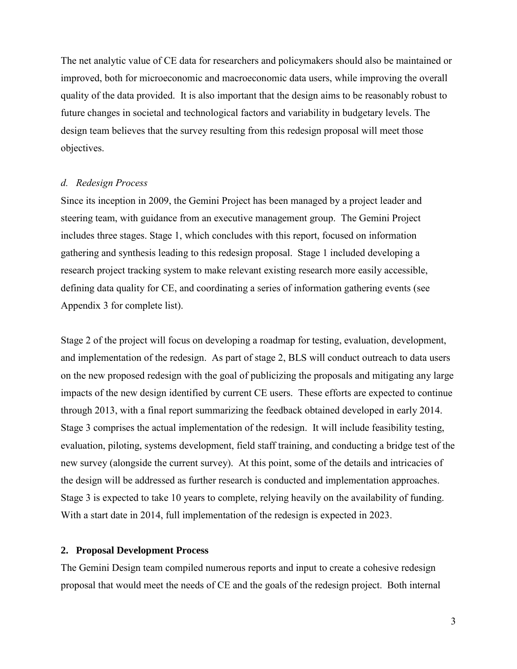The net analytic value of CE data for researchers and policymakers should also be maintained or improved, both for microeconomic and macroeconomic data users, while improving the overall quality of the data provided. It is also important that the design aims to be reasonably robust to future changes in societal and technological factors and variability in budgetary levels. The design team believes that the survey resulting from this redesign proposal will meet those objectives.

#### <span id="page-6-0"></span>*d. Redesign Process*

Since its inception in 2009, the Gemini Project has been managed by a project leader and steering team, with guidance from an executive management group. The Gemini Project includes three stages. Stage 1, which concludes with this report, focused on information gathering and synthesis leading to this redesign proposal. Stage 1 included developing a research project tracking system to make relevant existing research more easily accessible, defining data quality for CE, and coordinating a series of information gathering events (see Appendix 3 for complete list).

Stage 2 of the project will focus on developing a roadmap for testing, evaluation, development, and implementation of the redesign. As part of stage 2, BLS will conduct outreach to data users on the new proposed redesign with the goal of publicizing the proposals and mitigating any large impacts of the new design identified by current CE users. These efforts are expected to continue through 2013, with a final report summarizing the feedback obtained developed in early 2014. Stage 3 comprises the actual implementation of the redesign. It will include feasibility testing, evaluation, piloting, systems development, field staff training, and conducting a bridge test of the new survey (alongside the current survey). At this point, some of the details and intricacies of the design will be addressed as further research is conducted and implementation approaches. Stage 3 is expected to take 10 years to complete, relying heavily on the availability of funding. With a start date in 2014, full implementation of the redesign is expected in 2023.

#### <span id="page-6-1"></span>**2. Proposal Development Process**

The Gemini Design team compiled numerous reports and input to create a cohesive redesign proposal that would meet the needs of CE and the goals of the redesign project. Both internal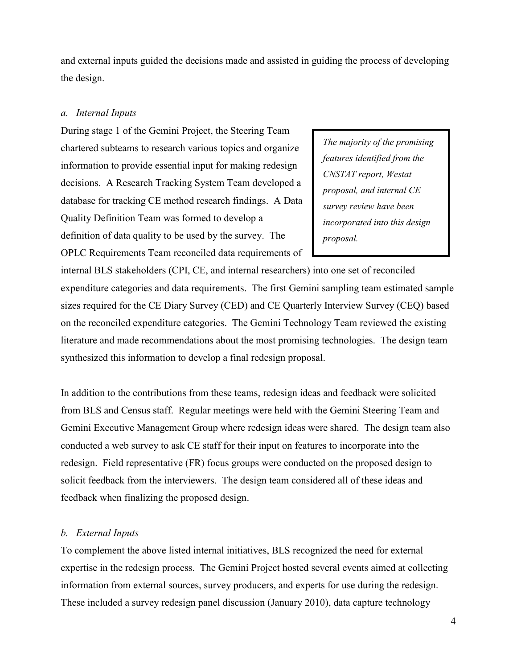and external inputs guided the decisions made and assisted in guiding the process of developing the design.

#### <span id="page-7-0"></span>*a. Internal Inputs*

During stage 1 of the Gemini Project, the Steering Team chartered subteams to research various topics and organize information to provide essential input for making redesign decisions. A Research Tracking System Team developed a database for tracking CE method research findings. A Data Quality Definition Team was formed to develop a definition of data quality to be used by the survey. The OPLC Requirements Team reconciled data requirements of

*The majority of the promising features identified from the CNSTAT report, Westat proposal, and internal CE survey review have been incorporated into this design proposal.*

internal BLS stakeholders (CPI, CE, and internal researchers) into one set of reconciled expenditure categories and data requirements. The first Gemini sampling team estimated sample sizes required for the CE Diary Survey (CED) and CE Quarterly Interview Survey (CEQ) based on the reconciled expenditure categories. The Gemini Technology Team reviewed the existing literature and made recommendations about the most promising technologies. The design team synthesized this information to develop a final redesign proposal.

In addition to the contributions from these teams, redesign ideas and feedback were solicited from BLS and Census staff. Regular meetings were held with the Gemini Steering Team and Gemini Executive Management Group where redesign ideas were shared. The design team also conducted a web survey to ask CE staff for their input on features to incorporate into the redesign. Field representative (FR) focus groups were conducted on the proposed design to solicit feedback from the interviewers. The design team considered all of these ideas and feedback when finalizing the proposed design.

#### <span id="page-7-1"></span>*b. External Inputs*

To complement the above listed internal initiatives, BLS recognized the need for external expertise in the redesign process. The Gemini Project hosted several events aimed at collecting information from external sources, survey producers, and experts for use during the redesign. These included a survey redesign panel discussion (January 2010), data capture technology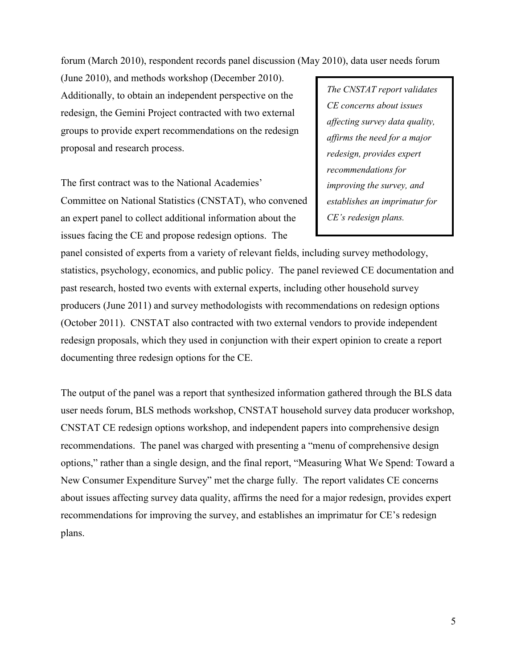forum (March 2010), respondent records panel discussion (May 2010), data user needs forum

(June 2010), and methods workshop (December 2010). Additionally, to obtain an independent perspective on the redesign, the Gemini Project contracted with two external groups to provide expert recommendations on the redesign proposal and research process.

The first contract was to the National Academies' Committee on National Statistics (CNSTAT), who convened an expert panel to collect additional information about the issues facing the CE and propose redesign options. The

*The CNSTAT report validates CE concerns about issues affecting survey data quality, affirms the need for a major redesign, provides expert recommendations for improving the survey, and establishes an imprimatur for CE's redesign plans.* 

panel consisted of experts from a variety of relevant fields, including survey methodology, statistics, psychology, economics, and public policy. The panel reviewed CE documentation and past research, hosted two events with external experts, including other household survey producers (June 2011) and survey methodologists with recommendations on redesign options (October 2011). CNSTAT also contracted with two external vendors to provide independent redesign proposals, which they used in conjunction with their expert opinion to create a report documenting three redesign options for the CE.

The output of the panel was a report that synthesized information gathered through the BLS data user needs forum, BLS methods workshop, CNSTAT household survey data producer workshop, CNSTAT CE redesign options workshop, and independent papers into comprehensive design recommendations. The panel was charged with presenting a "menu of comprehensive design options," rather than a single design, and the final report, "Measuring What We Spend: Toward a New Consumer Expenditure Survey" met the charge fully. The report validates CE concerns about issues affecting survey data quality, affirms the need for a major redesign, provides expert recommendations for improving the survey, and establishes an imprimatur for CE's redesign plans.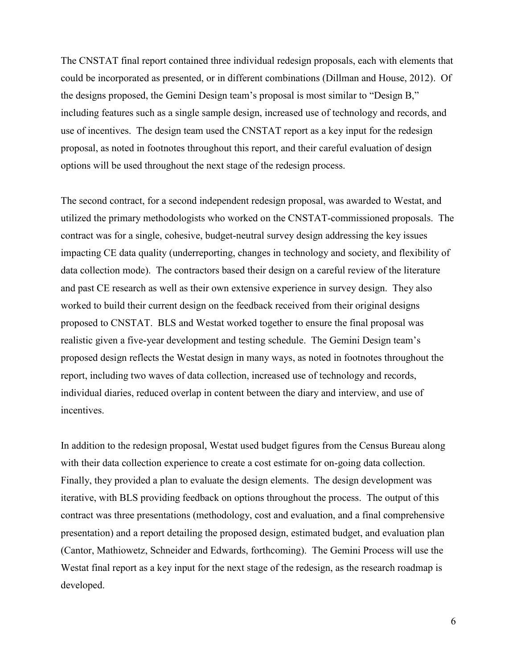The CNSTAT final report contained three individual redesign proposals, each with elements that could be incorporated as presented, or in different combinations (Dillman and House, 2012). Of the designs proposed, the Gemini Design team's proposal is most similar to "Design B," including features such as a single sample design, increased use of technology and records, and use of incentives. The design team used the CNSTAT report as a key input for the redesign proposal, as noted in footnotes throughout this report, and their careful evaluation of design options will be used throughout the next stage of the redesign process.

The second contract, for a second independent redesign proposal, was awarded to Westat, and utilized the primary methodologists who worked on the CNSTAT-commissioned proposals. The contract was for a single, cohesive, budget-neutral survey design addressing the key issues impacting CE data quality (underreporting, changes in technology and society, and flexibility of data collection mode). The contractors based their design on a careful review of the literature and past CE research as well as their own extensive experience in survey design. They also worked to build their current design on the feedback received from their original designs proposed to CNSTAT. BLS and Westat worked together to ensure the final proposal was realistic given a five-year development and testing schedule. The Gemini Design team's proposed design reflects the Westat design in many ways, as noted in footnotes throughout the report, including two waves of data collection, increased use of technology and records, individual diaries, reduced overlap in content between the diary and interview, and use of incentives.

In addition to the redesign proposal, Westat used budget figures from the Census Bureau along with their data collection experience to create a cost estimate for on-going data collection. Finally, they provided a plan to evaluate the design elements. The design development was iterative, with BLS providing feedback on options throughout the process. The output of this contract was three presentations (methodology, cost and evaluation, and a final comprehensive presentation) and a report detailing the proposed design, estimated budget, and evaluation plan (Cantor, Mathiowetz, Schneider and Edwards, forthcoming). The Gemini Process will use the Westat final report as a key input for the next stage of the redesign, as the research roadmap is developed.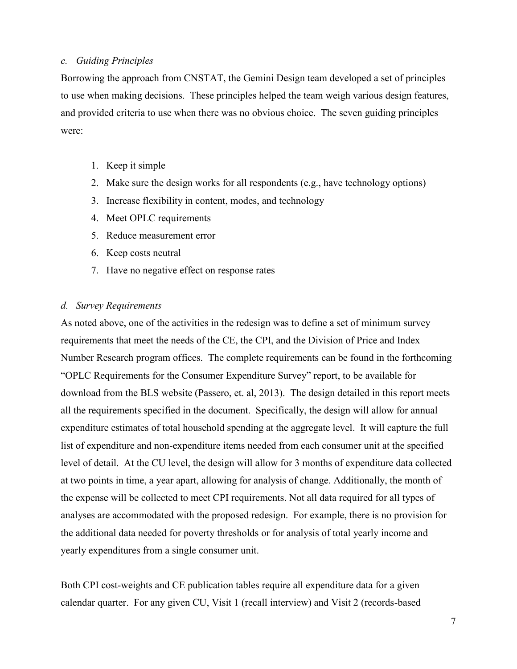#### <span id="page-10-0"></span>*c. Guiding Principles*

Borrowing the approach from CNSTAT, the Gemini Design team developed a set of principles to use when making decisions. These principles helped the team weigh various design features, and provided criteria to use when there was no obvious choice. The seven guiding principles were:

- 1. Keep it simple
- 2. Make sure the design works for all respondents (e.g., have technology options)
- 3. Increase flexibility in content, modes, and technology
- 4. Meet OPLC requirements
- 5. Reduce measurement error
- 6. Keep costs neutral
- 7. Have no negative effect on response rates

## <span id="page-10-1"></span>*d. Survey Requirements*

As noted above, one of the activities in the redesign was to define a set of minimum survey requirements that meet the needs of the CE, the CPI, and the Division of Price and Index Number Research program offices. The complete requirements can be found in the forthcoming "OPLC Requirements for the Consumer Expenditure Survey" report, to be available for download from the BLS website (Passero, et. al, 2013). The design detailed in this report meets all the requirements specified in the document. Specifically, the design will allow for annual expenditure estimates of total household spending at the aggregate level. It will capture the full list of expenditure and non-expenditure items needed from each consumer unit at the specified level of detail. At the CU level, the design will allow for 3 months of expenditure data collected at two points in time, a year apart, allowing for analysis of change. Additionally, the month of the expense will be collected to meet CPI requirements. Not all data required for all types of analyses are accommodated with the proposed redesign. For example, there is no provision for the additional data needed for poverty thresholds or for analysis of total yearly income and yearly expenditures from a single consumer unit.

Both CPI cost-weights and CE publication tables require all expenditure data for a given calendar quarter. For any given CU, Visit 1 (recall interview) and Visit 2 (records-based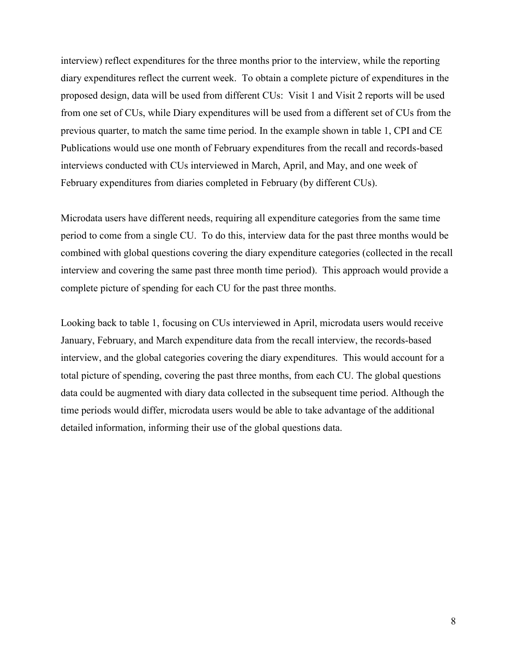interview) reflect expenditures for the three months prior to the interview, while the reporting diary expenditures reflect the current week. To obtain a complete picture of expenditures in the proposed design, data will be used from different CUs: Visit 1 and Visit 2 reports will be used from one set of CUs, while Diary expenditures will be used from a different set of CUs from the previous quarter, to match the same time period. In the example shown in table 1, CPI and CE Publications would use one month of February expenditures from the recall and records-based interviews conducted with CUs interviewed in March, April, and May, and one week of February expenditures from diaries completed in February (by different CUs).

Microdata users have different needs, requiring all expenditure categories from the same time period to come from a single CU. To do this, interview data for the past three months would be combined with global questions covering the diary expenditure categories (collected in the recall interview and covering the same past three month time period). This approach would provide a complete picture of spending for each CU for the past three months.

Looking back to table 1, focusing on CUs interviewed in April, microdata users would receive January, February, and March expenditure data from the recall interview, the records-based interview, and the global categories covering the diary expenditures. This would account for a total picture of spending, covering the past three months, from each CU. The global questions data could be augmented with diary data collected in the subsequent time period. Although the time periods would differ, microdata users would be able to take advantage of the additional detailed information, informing their use of the global questions data.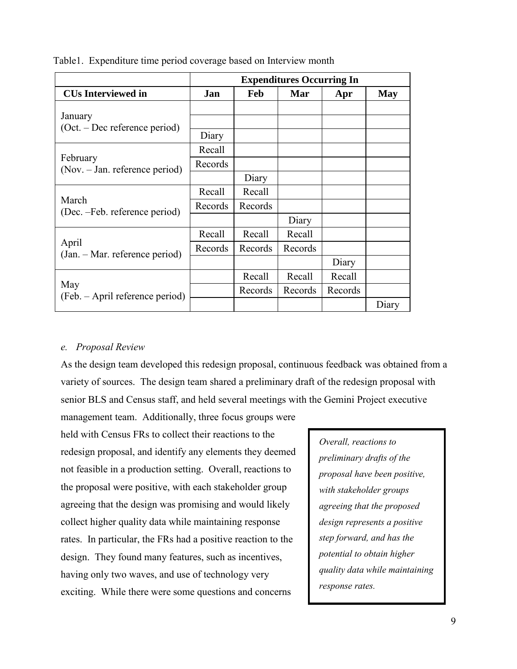|                                            | <b>Expenditures Occurring In</b> |         |         |         |       |
|--------------------------------------------|----------------------------------|---------|---------|---------|-------|
| <b>CUs Interviewed in</b>                  | Jan                              | Feb     | Mar     | Apr     | May   |
| January<br>$(Oct. - Dec$ reference period) | Diary                            |         |         |         |       |
| February                                   | Recall                           |         |         |         |       |
| (Nov. – Jan. reference period)             | Records                          | Diary   |         |         |       |
|                                            | Recall                           | Recall  |         |         |       |
| March<br>(Dec. -Feb. reference period)     | Records                          | Records |         |         |       |
|                                            |                                  |         | Diary   |         |       |
|                                            | Recall                           | Recall  | Recall  |         |       |
| April<br>(Jan. – Mar. reference period)    | Records                          | Records | Records |         |       |
|                                            |                                  |         |         | Diary   |       |
|                                            |                                  | Recall  | Recall  | Recall  |       |
| May<br>(Feb. – April reference period)     |                                  | Records | Records | Records |       |
|                                            |                                  |         |         |         | Diary |

Table1. Expenditure time period coverage based on Interview month

## <span id="page-12-0"></span>*e. Proposal Review*

As the design team developed this redesign proposal, continuous feedback was obtained from a variety of sources. The design team shared a preliminary draft of the redesign proposal with senior BLS and Census staff, and held several meetings with the Gemini Project executive

management team. Additionally, three focus groups were held with Census FRs to collect their reactions to the redesign proposal, and identify any elements they deemed not feasible in a production setting. Overall, reactions to the proposal were positive, with each stakeholder group agreeing that the design was promising and would likely collect higher quality data while maintaining response rates. In particular, the FRs had a positive reaction to the design. They found many features, such as incentives, having only two waves, and use of technology very exciting. While there were some questions and concerns

*Overall, reactions to preliminary drafts of the proposal have been positive, with stakeholder groups agreeing that the proposed design represents a positive step forward, and has the potential to obtain higher quality data while maintaining response rates.*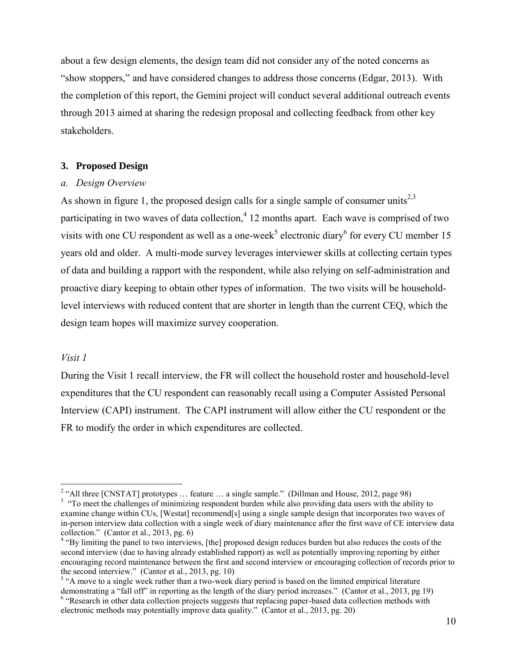about a few design elements, the design team did not consider any of the noted concerns as "show stoppers," and have considered changes to address those concerns (Edgar, 2013). With the completion of this report, the Gemini project will conduct several additional outreach events through 2013 aimed at sharing the redesign proposal and collecting feedback from other key stakeholders.

#### <span id="page-13-0"></span>**3. Proposed Design**

#### <span id="page-13-1"></span>*a. Design Overview*

As shown in figure 1, the proposed design calls for a single sample of consumer units<sup>2,3</sup> participating in two waves of data collection,<sup>4</sup> 12 months apart. Each wave is comprised of two visits with one CU respondent as well as a one-week<sup>5</sup> electronic diary<sup>6</sup> for every CU member 15 years old and older. A multi-mode survey leverages interviewer skills at collecting certain types of data and building a rapport with the respondent, while also relying on self-administration and proactive diary keeping to obtain other types of information. The two visits will be householdlevel interviews with reduced content that are shorter in length than the current CEQ, which the design team hopes will maximize survey cooperation.

## *Visit 1*

During the Visit 1 recall interview, the FR will collect the household roster and household-level expenditures that the CU respondent can reasonably recall using a Computer Assisted Personal Interview (CAPI) instrument. The CAPI instrument will allow either the CU respondent or the FR to modify the order in which expenditures are collected.

<sup>&</sup>lt;sup>2</sup> "All three [CNSTAT] prototypes ... feature ... a single sample." (Dillman and House, 2012, page 98)

<sup>&</sup>lt;sup>3</sup> "To meet the challenges of minimizing respondent burden while also providing data users with the ability to examine change within CUs, [Westat] recommend[s] using a single sample design that incorporates two waves of in-person interview data collection with a single week of diary maintenance after the first wave of CE interview data collection." (Cantor et al., 2013, pg. 6)

<sup>&</sup>lt;sup>4</sup> "By limiting the panel to two interviews, [the] proposed design reduces burden but also reduces the costs of the second interview (due to having already established rapport) as well as potentially improving reporting by either encouraging record maintenance between the first and second interview or encouraging collection of records prior to the second interview." (Cantor et al., 2013, pg. 10)

<sup>&</sup>lt;sup>5</sup> "A move to a single week rather than a two-week diary period is based on the limited empirical literature demonstrating a "fall off" in reporting as the length of the diary period increases." (Cantor et al., 2013, pg 19) <sup>6</sup> "Research in other data collection projects suggests that replacing paper-based data collection methods with electronic methods may potentially improve data quality." (Cantor et al., 2013, pg. 20)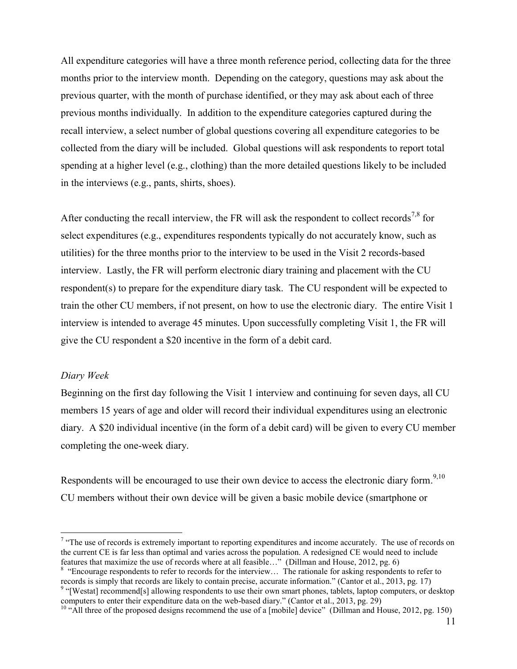All expenditure categories will have a three month reference period, collecting data for the three months prior to the interview month. Depending on the category, questions may ask about the previous quarter, with the month of purchase identified, or they may ask about each of three previous months individually. In addition to the expenditure categories captured during the recall interview, a select number of global questions covering all expenditure categories to be collected from the diary will be included. Global questions will ask respondents to report total spending at a higher level (e.g., clothing) than the more detailed questions likely to be included in the interviews (e.g., pants, shirts, shoes).

After conducting the recall interview, the FR will ask the respondent to collect records<sup>7,8</sup> for select expenditures (e.g., expenditures respondents typically do not accurately know, such as utilities) for the three months prior to the interview to be used in the Visit 2 records-based interview. Lastly, the FR will perform electronic diary training and placement with the CU respondent(s) to prepare for the expenditure diary task. The CU respondent will be expected to train the other CU members, if not present, on how to use the electronic diary. The entire Visit 1 interview is intended to average 45 minutes. Upon successfully completing Visit 1, the FR will give the CU respondent a \$20 incentive in the form of a debit card.

#### *Diary Week*

 $\overline{a}$ 

Beginning on the first day following the Visit 1 interview and continuing for seven days, all CU members 15 years of age and older will record their individual expenditures using an electronic diary. A \$20 individual incentive (in the form of a debit card) will be given to every CU member completing the one-week diary.

Respondents will be encouraged to use their own device to access the electronic diary form.<sup>9,10</sup> CU members without their own device will be given a basic mobile device (smartphone or

<sup>8</sup> "Encourage respondents to refer to records for the interview... The rationale for asking respondents to refer to records is simply that records are likely to contain precise, accurate information." (Cantor et al., 2013, pg. 17)

<sup>&</sup>lt;sup>7</sup> "The use of records is extremely important to reporting expenditures and income accurately. The use of records on the current CE is far less than optimal and varies across the population. A redesigned CE would need to include features that maximize the use of records where at all feasible…" (Dillman and House, 2012, pg. 6)

<sup>&</sup>lt;sup>9</sup> "[Westat] recommend[s] allowing respondents to use their own smart phones, tablets, laptop computers, or desktop computers to enter their expenditure data on the web-based diary." (Cantor et al., 2013, pg. 29)

<sup>&</sup>lt;sup>10</sup> "All three of the proposed designs recommend the use of a [mobile] device" (Dillman and House, 2012, pg. 150)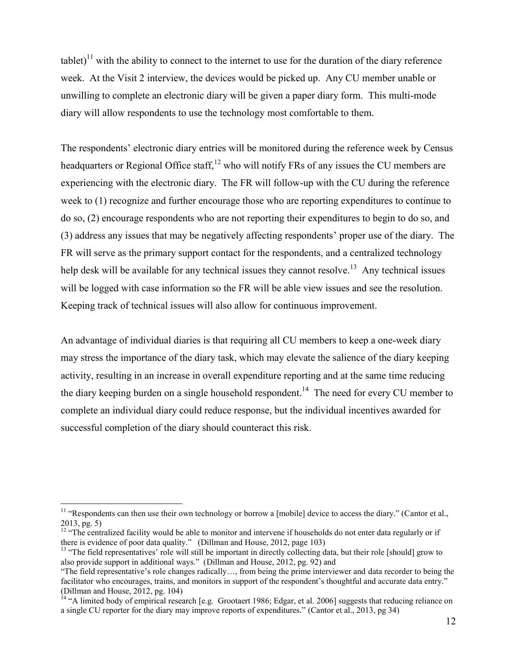tablet)<sup>11</sup> with the ability to connect to the internet to use for the duration of the diary reference week. At the Visit 2 interview, the devices would be picked up. Any CU member unable or unwilling to complete an electronic diary will be given a paper diary form. This multi-mode diary will allow respondents to use the technology most comfortable to them.

The respondents' electronic diary entries will be monitored during the reference week by Census headquarters or Regional Office staff,  $^{12}$  who will notify FRs of any issues the CU members are experiencing with the electronic diary. The FR will follow-up with the CU during the reference week to (1) recognize and further encourage those who are reporting expenditures to continue to do so, (2) encourage respondents who are not reporting their expenditures to begin to do so, and (3) address any issues that may be negatively affecting respondents' proper use of the diary. The FR will serve as the primary support contact for the respondents, and a centralized technology help desk will be available for any technical issues they cannot resolve.<sup>13</sup> Any technical issues will be logged with case information so the FR will be able view issues and see the resolution. Keeping track of technical issues will also allow for continuous improvement.

An advantage of individual diaries is that requiring all CU members to keep a one-week diary may stress the importance of the diary task, which may elevate the salience of the diary keeping activity, resulting in an increase in overall expenditure reporting and at the same time reducing the diary keeping burden on a single household respondent.<sup>14</sup> The need for every CU member to complete an individual diary could reduce response, but the individual incentives awarded for successful completion of the diary should counteract this risk.

 $\overline{a}$ 

 $11$  "Respondents can then use their own technology or borrow a [mobile] device to access the diary." (Cantor et al., 2013, pg. 5)

<sup>&</sup>lt;sup>12</sup> "The centralized facility would be able to monitor and intervene if households do not enter data regularly or if there is evidence of poor data quality." (Dillman and House, 2012, page 103)

 $<sup>13</sup>$  "The field representatives' role will still be important in directly collecting data, but their role [should] grow to</sup> also provide support in additional ways." (Dillman and House, 2012, pg. 92) and

<sup>&</sup>quot;The field representative's role changes radically…, from being the prime interviewer and data recorder to being the facilitator who encourages, trains, and monitors in support of the respondent's thoughtful and accurate data entry." (Dillman and House, 2012, pg. 104)

<sup>&</sup>lt;sup>14</sup> "A limited body of empirical research [e.g. Grootaert 1986; Edgar, et al. 2006] suggests that reducing reliance on a single CU reporter for the diary may improve reports of expenditures." (Cantor et al., 2013, pg 34)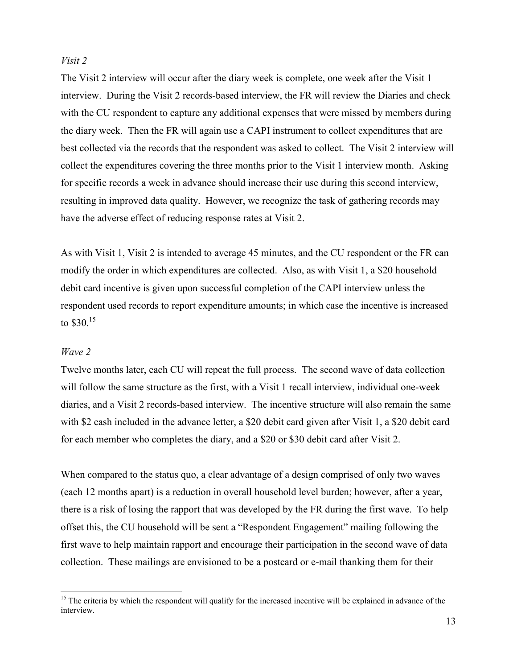## *Visit 2*

The Visit 2 interview will occur after the diary week is complete, one week after the Visit 1 interview. During the Visit 2 records-based interview, the FR will review the Diaries and check with the CU respondent to capture any additional expenses that were missed by members during the diary week. Then the FR will again use a CAPI instrument to collect expenditures that are best collected via the records that the respondent was asked to collect. The Visit 2 interview will collect the expenditures covering the three months prior to the Visit 1 interview month. Asking for specific records a week in advance should increase their use during this second interview, resulting in improved data quality. However, we recognize the task of gathering records may have the adverse effect of reducing response rates at Visit 2.

As with Visit 1, Visit 2 is intended to average 45 minutes, and the CU respondent or the FR can modify the order in which expenditures are collected. Also, as with Visit 1, a \$20 household debit card incentive is given upon successful completion of the CAPI interview unless the respondent used records to report expenditure amounts; in which case the incentive is increased to \$30.<sup>15</sup>

## *Wave 2*

 $\overline{a}$ 

Twelve months later, each CU will repeat the full process. The second wave of data collection will follow the same structure as the first, with a Visit 1 recall interview, individual one-week diaries, and a Visit 2 records-based interview. The incentive structure will also remain the same with \$2 cash included in the advance letter, a \$20 debit card given after Visit 1, a \$20 debit card for each member who completes the diary, and a \$20 or \$30 debit card after Visit 2.

When compared to the status quo, a clear advantage of a design comprised of only two waves (each 12 months apart) is a reduction in overall household level burden; however, after a year, there is a risk of losing the rapport that was developed by the FR during the first wave. To help offset this, the CU household will be sent a "Respondent Engagement" mailing following the first wave to help maintain rapport and encourage their participation in the second wave of data collection. These mailings are envisioned to be a postcard or e-mail thanking them for their

<sup>&</sup>lt;sup>15</sup> The criteria by which the respondent will qualify for the increased incentive will be explained in advance of the interview.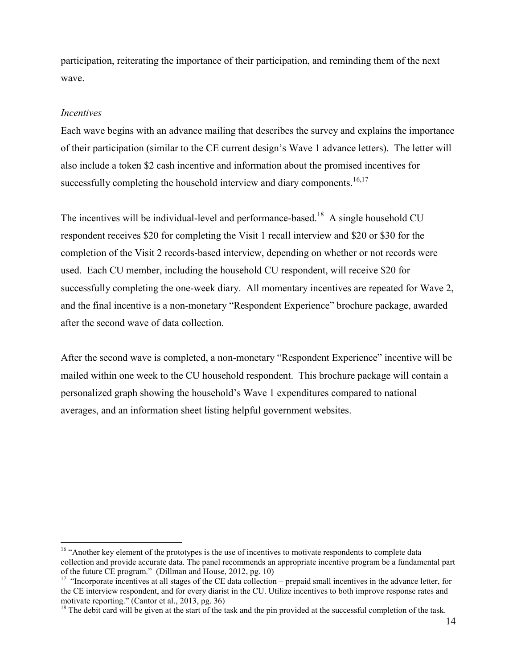participation, reiterating the importance of their participation, and reminding them of the next wave.

#### *Incentives*

 $\overline{a}$ 

Each wave begins with an advance mailing that describes the survey and explains the importance of their participation (similar to the CE current design's Wave 1 advance letters). The letter will also include a token \$2 cash incentive and information about the promised incentives for successfully completing the household interview and diary components.<sup>16,17</sup>

The incentives will be individual-level and performance-based.<sup>18</sup> A single household CU respondent receives \$20 for completing the Visit 1 recall interview and \$20 or \$30 for the completion of the Visit 2 records-based interview, depending on whether or not records were used. Each CU member, including the household CU respondent, will receive \$20 for successfully completing the one-week diary. All momentary incentives are repeated for Wave 2, and the final incentive is a non-monetary "Respondent Experience" brochure package, awarded after the second wave of data collection.

After the second wave is completed, a non-monetary "Respondent Experience" incentive will be mailed within one week to the CU household respondent. This brochure package will contain a personalized graph showing the household's Wave 1 expenditures compared to national averages, and an information sheet listing helpful government websites.

<sup>&</sup>lt;sup>16</sup> "Another key element of the prototypes is the use of incentives to motivate respondents to complete data collection and provide accurate data. The panel recommends an appropriate incentive program be a fundamental part of the future CE program." (Dillman and House, 2012, pg. 10)

<sup>&</sup>lt;sup>17</sup> "Incorporate incentives at all stages of the CE data collection – prepaid small incentives in the advance letter, for the CE interview respondent, and for every diarist in the CU. Utilize incentives to both improve response rates and motivate reporting." (Cantor et al., 2013, pg. 36)

<sup>&</sup>lt;sup>18</sup> The debit card will be given at the start of the task and the pin provided at the successful completion of the task.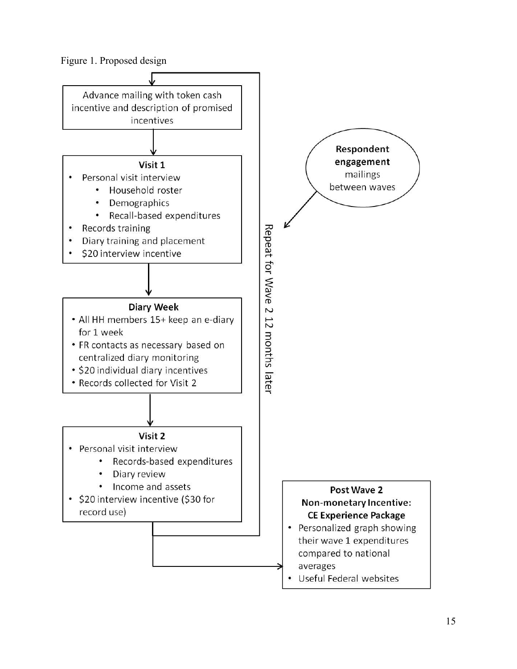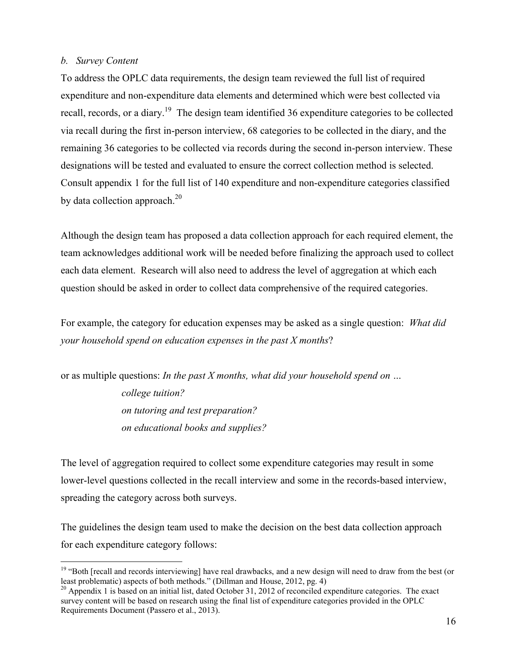#### <span id="page-19-0"></span>*b. Survey Content*

 $\overline{a}$ 

To address the OPLC data requirements, the design team reviewed the full list of required expenditure and non-expenditure data elements and determined which were best collected via recall, records, or a diary.<sup>19</sup> The design team identified 36 expenditure categories to be collected via recall during the first in-person interview, 68 categories to be collected in the diary, and the remaining 36 categories to be collected via records during the second in-person interview. These designations will be tested and evaluated to ensure the correct collection method is selected. Consult appendix 1 for the full list of 140 expenditure and non-expenditure categories classified by data collection approach.<sup>20</sup>

Although the design team has proposed a data collection approach for each required element, the team acknowledges additional work will be needed before finalizing the approach used to collect each data element. Research will also need to address the level of aggregation at which each question should be asked in order to collect data comprehensive of the required categories.

For example, the category for education expenses may be asked as a single question: *What did your household spend on education expenses in the past X months*?

or as multiple questions: *In the past X months, what did your household spend on … college tuition? on tutoring and test preparation? on educational books and supplies?* 

The level of aggregation required to collect some expenditure categories may result in some lower-level questions collected in the recall interview and some in the records-based interview, spreading the category across both surveys.

The guidelines the design team used to make the decision on the best data collection approach for each expenditure category follows:

<sup>&</sup>lt;sup>19</sup> "Both [recall and records interviewing] have real drawbacks, and a new design will need to draw from the best (or least problematic) aspects of both methods." (Dillman and House, 2012, pg. 4)

<sup>&</sup>lt;sup>20</sup> Appendix 1 is based on an initial list, dated October 31, 2012 of reconciled expenditure categories. The exact survey content will be based on research using the final list of expenditure categories provided in the OPLC Requirements Document (Passero et al., 2013).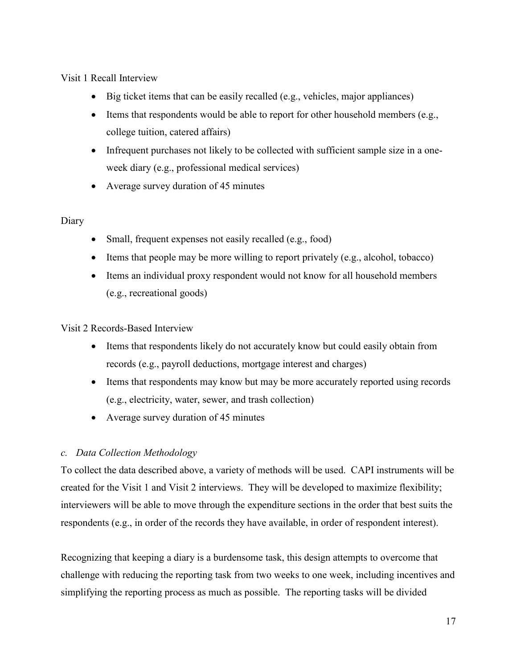Visit 1 Recall Interview

- $\bullet$  Big ticket items that can be easily recalled (e.g., vehicles, major appliances)
- Items that respondents would be able to report for other household members  $(e.g.,)$ college tuition, catered affairs)
- Infrequent purchases not likely to be collected with sufficient sample size in a oneweek diary (e.g., professional medical services)
- Average survey duration of 45 minutes

# Diary

- Small, frequent expenses not easily recalled (e.g., food)
- $\bullet$  Items that people may be more willing to report privately (e.g., alcohol, tobacco)
- Items an individual proxy respondent would not know for all household members (e.g., recreational goods)

Visit 2 Records-Based Interview

- Items that respondents likely do not accurately know but could easily obtain from records (e.g., payroll deductions, mortgage interest and charges)
- Items that respondents may know but may be more accurately reported using records (e.g., electricity, water, sewer, and trash collection)
- Average survey duration of 45 minutes

# <span id="page-20-0"></span>*c. Data Collection Methodology*

To collect the data described above, a variety of methods will be used. CAPI instruments will be created for the Visit 1 and Visit 2 interviews. They will be developed to maximize flexibility; interviewers will be able to move through the expenditure sections in the order that best suits the respondents (e.g., in order of the records they have available, in order of respondent interest).

Recognizing that keeping a diary is a burdensome task, this design attempts to overcome that challenge with reducing the reporting task from two weeks to one week, including incentives and simplifying the reporting process as much as possible. The reporting tasks will be divided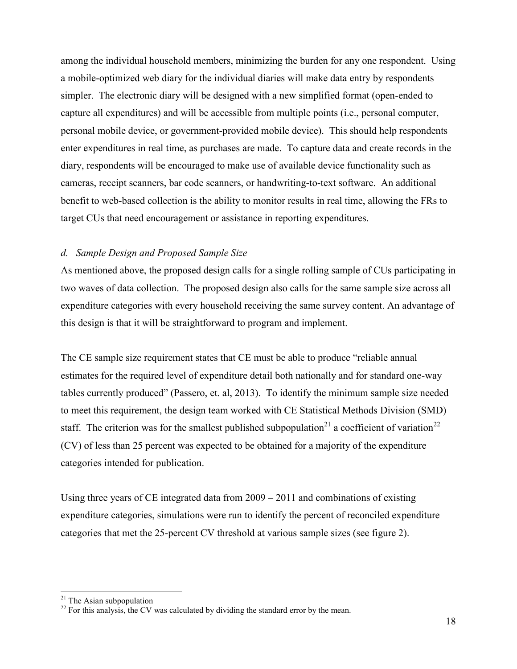among the individual household members, minimizing the burden for any one respondent. Using a mobile-optimized web diary for the individual diaries will make data entry by respondents simpler. The electronic diary will be designed with a new simplified format (open-ended to capture all expenditures) and will be accessible from multiple points (i.e., personal computer, personal mobile device, or government-provided mobile device). This should help respondents enter expenditures in real time, as purchases are made. To capture data and create records in the diary, respondents will be encouraged to make use of available device functionality such as cameras, receipt scanners, bar code scanners, or handwriting-to-text software. An additional benefit to web-based collection is the ability to monitor results in real time, allowing the FRs to target CUs that need encouragement or assistance in reporting expenditures.

#### <span id="page-21-0"></span>*d. Sample Design and Proposed Sample Size*

As mentioned above, the proposed design calls for a single rolling sample of CUs participating in two waves of data collection. The proposed design also calls for the same sample size across all expenditure categories with every household receiving the same survey content. An advantage of this design is that it will be straightforward to program and implement.

The CE sample size requirement states that CE must be able to produce "reliable annual estimates for the required level of expenditure detail both nationally and for standard one-way tables currently produced" (Passero, et. al, 2013). To identify the minimum sample size needed to meet this requirement, the design team worked with CE Statistical Methods Division (SMD) staff. The criterion was for the smallest published subpopulation<sup>21</sup> a coefficient of variation<sup>22</sup> (CV) of less than 25 percent was expected to be obtained for a majority of the expenditure categories intended for publication.

Using three years of CE integrated data from 2009 – 2011 and combinations of existing expenditure categories, simulations were run to identify the percent of reconciled expenditure categories that met the 25-percent CV threshold at various sample sizes (see figure 2).

 $\overline{a}$ 

 $21$  The Asian subpopulation

 $22$  For this analysis, the CV was calculated by dividing the standard error by the mean.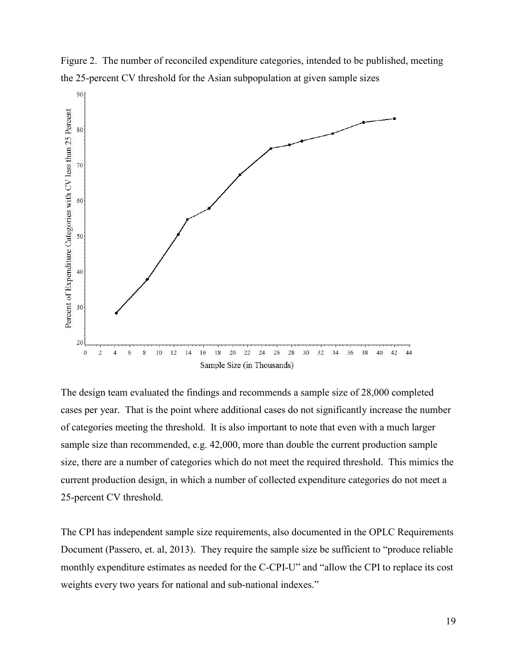



The design team evaluated the findings and recommends a sample size of 28,000 completed cases per year. That is the point where additional cases do not significantly increase the number of categories meeting the threshold. It is also important to note that even with a much larger sample size than recommended, e.g. 42,000, more than double the current production sample size, there are a number of categories which do not meet the required threshold. This mimics the current production design, in which a number of collected expenditure categories do not meet a 25-percent CV threshold.

The CPI has independent sample size requirements, also documented in the OPLC Requirements Document (Passero, et. al, 2013). They require the sample size be sufficient to "produce reliable" monthly expenditure estimates as needed for the C-CPI-U" and "allow the CPI to replace its cost weights every two years for national and sub-national indexes."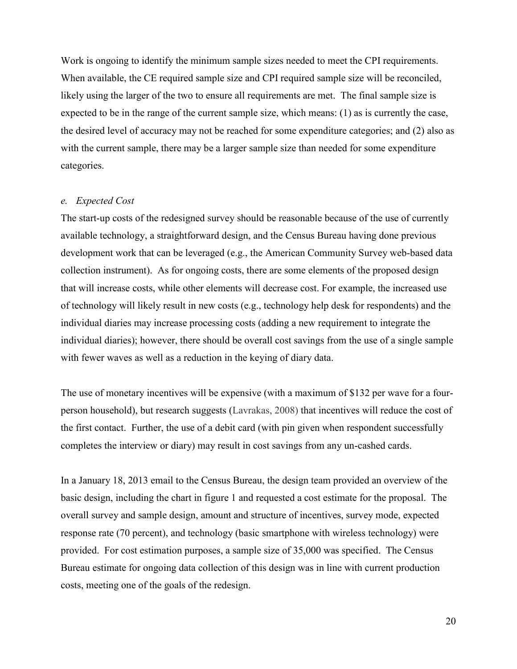Work is ongoing to identify the minimum sample sizes needed to meet the CPI requirements. When available, the CE required sample size and CPI required sample size will be reconciled, likely using the larger of the two to ensure all requirements are met. The final sample size is expected to be in the range of the current sample size, which means: (1) as is currently the case, the desired level of accuracy may not be reached for some expenditure categories; and (2) also as with the current sample, there may be a larger sample size than needed for some expenditure categories.

#### <span id="page-23-0"></span>*e. Expected Cost*

The start-up costs of the redesigned survey should be reasonable because of the use of currently available technology, a straightforward design, and the Census Bureau having done previous development work that can be leveraged (e.g., the American Community Survey web-based data collection instrument). As for ongoing costs, there are some elements of the proposed design that will increase costs, while other elements will decrease cost. For example, the increased use of technology will likely result in new costs (e.g., technology help desk for respondents) and the individual diaries may increase processing costs (adding a new requirement to integrate the individual diaries); however, there should be overall cost savings from the use of a single sample with fewer waves as well as a reduction in the keying of diary data.

The use of monetary incentives will be expensive (with a maximum of \$132 per wave for a fourperson household), but research suggests (Lavrakas, 2008) that incentives will reduce the cost of the first contact. Further, the use of a debit card (with pin given when respondent successfully completes the interview or diary) may result in cost savings from any un-cashed cards.

In a January 18, 2013 email to the Census Bureau, the design team provided an overview of the basic design, including the chart in figure 1 and requested a cost estimate for the proposal. The overall survey and sample design, amount and structure of incentives, survey mode, expected response rate (70 percent), and technology (basic smartphone with wireless technology) were provided. For cost estimation purposes, a sample size of 35,000 was specified. The Census Bureau estimate for ongoing data collection of this design was in line with current production costs, meeting one of the goals of the redesign.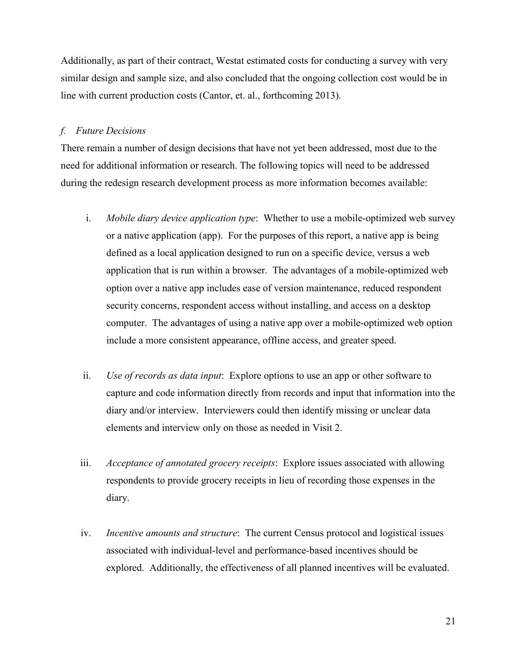Additionally, as part of their contract, Westat estimated costs for conducting a survey with very similar design and sample size, and also concluded that the ongoing collection cost would be in line with current production costs (Cantor, et. al., forthcoming 2013).

## <span id="page-24-0"></span>*f. Future Decisions*

There remain a number of design decisions that have not yet been addressed, most due to the need for additional information or research. The following topics will need to be addressed during the redesign research development process as more information becomes available:

- i. *Mobile diary device application type*: Whether to use a mobile-optimized web survey or a native application (app). For the purposes of this report, a native app is being defined as a local application designed to run on a specific device, versus a web application that is run within a browser. The advantages of a mobile-optimized web option over a native app includes ease of version maintenance, reduced respondent security concerns, respondent access without installing, and access on a desktop computer. The advantages of using a native app over a mobile-optimized web option include a more consistent appearance, offline access, and greater speed.
- ii. *Use of records as data input*: Explore options to use an app or other software to capture and code information directly from records and input that information into the diary and/or interview. Interviewers could then identify missing or unclear data elements and interview only on those as needed in Visit 2.
- iii. *Acceptance of annotated grocery receipts*: Explore issues associated with allowing respondents to provide grocery receipts in lieu of recording those expenses in the diary.
- iv. *Incentive amounts and structure*: The current Census protocol and logistical issues associated with individual-level and performance-based incentives should be explored. Additionally, the effectiveness of all planned incentives will be evaluated.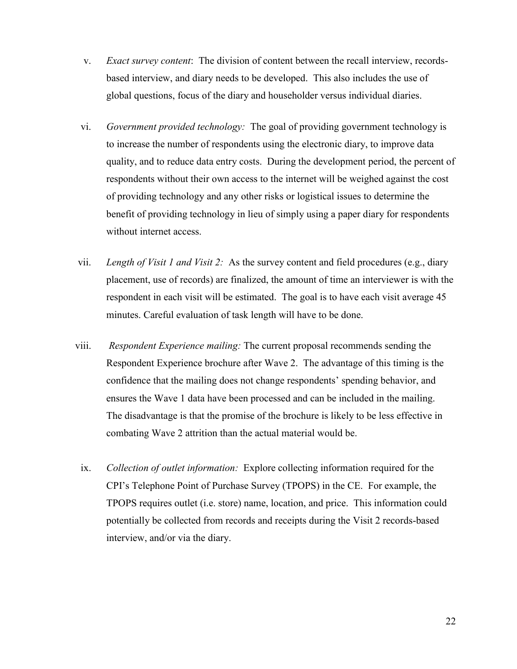- v. *Exact survey content*: The division of content between the recall interview, recordsbased interview, and diary needs to be developed. This also includes the use of global questions, focus of the diary and householder versus individual diaries.
- vi. *Government provided technology:* The goal of providing government technology is to increase the number of respondents using the electronic diary, to improve data quality, and to reduce data entry costs. During the development period, the percent of respondents without their own access to the internet will be weighed against the cost of providing technology and any other risks or logistical issues to determine the benefit of providing technology in lieu of simply using a paper diary for respondents without internet access.
- vii. *Length of Visit 1 and Visit 2:* As the survey content and field procedures (e.g., diary placement, use of records) are finalized, the amount of time an interviewer is with the respondent in each visit will be estimated. The goal is to have each visit average 45 minutes. Careful evaluation of task length will have to be done.
- viii. *Respondent Experience mailing:* The current proposal recommends sending the Respondent Experience brochure after Wave 2. The advantage of this timing is the confidence that the mailing does not change respondents' spending behavior, and ensures the Wave 1 data have been processed and can be included in the mailing. The disadvantage is that the promise of the brochure is likely to be less effective in combating Wave 2 attrition than the actual material would be.
- ix. *Collection of outlet information:* Explore collecting information required for the CPI's Telephone Point of Purchase Survey (TPOPS) in the CE. For example, the TPOPS requires outlet (i.e. store) name, location, and price. This information could potentially be collected from records and receipts during the Visit 2 records-based interview, and/or via the diary.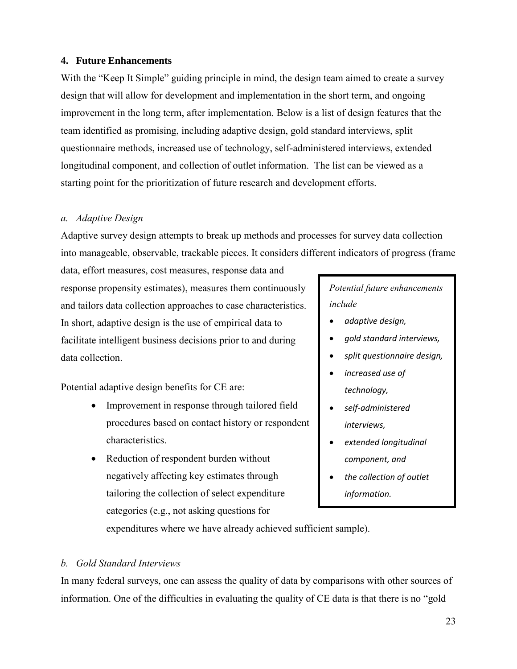## <span id="page-26-0"></span>**4. Future Enhancements**

With the "Keep It Simple" guiding principle in mind, the design team aimed to create a survey design that will allow for development and implementation in the short term, and ongoing improvement in the long term, after implementation. Below is a list of design features that the team identified as promising, including adaptive design, gold standard interviews, split questionnaire methods, increased use of technology, self-administered interviews, extended longitudinal component, and collection of outlet information. The list can be viewed as a starting point for the prioritization of future research and development efforts.

## <span id="page-26-1"></span>*a. Adaptive Design*

Adaptive survey design attempts to break up methods and processes for survey data collection into manageable, observable, trackable pieces. It considers different indicators of progress (frame

data, effort measures, cost measures, response data and response propensity estimates), measures them continuously and tailors data collection approaches to case characteristics. In short, adaptive design is the use of empirical data to facilitate intelligent business decisions prior to and during data collection.

Potential adaptive design benefits for CE are:

- Improvement in response through tailored field procedures based on contact history or respondent characteristics.
- Reduction of respondent burden without negatively affecting key estimates through tailoring the collection of select expenditure categories (e.g., not asking questions for

*Potential future enhancements include*

- *adaptive design,*
- *gold standard interviews,*
- *split questionnaire design,*
- *increased use of technology,*
- *self-administered interviews,*
- *extended longitudinal component, and*
- *the collection of outlet information.*

expenditures where we have already achieved sufficient sample).

## <span id="page-26-2"></span>*b. Gold Standard Interviews*

In many federal surveys, one can assess the quality of data by comparisons with other sources of information. One of the difficulties in evaluating the quality of CE data is that there is no "gold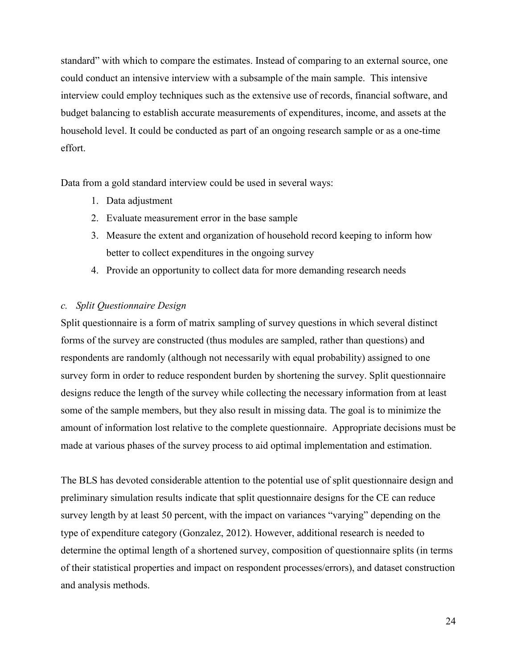standard" with which to compare the estimates. Instead of comparing to an external source, one could conduct an intensive interview with a subsample of the main sample. This intensive interview could employ techniques such as the extensive use of records, financial software, and budget balancing to establish accurate measurements of expenditures, income, and assets at the household level. It could be conducted as part of an ongoing research sample or as a one-time effort.

Data from a gold standard interview could be used in several ways:

- 1. Data adjustment
- 2. Evaluate measurement error in the base sample
- 3. Measure the extent and organization of household record keeping to inform how better to collect expenditures in the ongoing survey
- 4. Provide an opportunity to collect data for more demanding research needs

#### <span id="page-27-0"></span>*c. Split Questionnaire Design*

Split questionnaire is a form of matrix sampling of survey questions in which several distinct forms of the survey are constructed (thus modules are sampled, rather than questions) and respondents are randomly (although not necessarily with equal probability) assigned to one survey form in order to reduce respondent burden by shortening the survey. Split questionnaire designs reduce the length of the survey while collecting the necessary information from at least some of the sample members, but they also result in missing data. The goal is to minimize the amount of information lost relative to the complete questionnaire. Appropriate decisions must be made at various phases of the survey process to aid optimal implementation and estimation.

The BLS has devoted considerable attention to the potential use of split questionnaire design and preliminary simulation results indicate that split questionnaire designs for the CE can reduce survey length by at least 50 percent, with the impact on variances "varying" depending on the type of expenditure category (Gonzalez, 2012). However, additional research is needed to determine the optimal length of a shortened survey, composition of questionnaire splits (in terms of their statistical properties and impact on respondent processes/errors), and dataset construction and analysis methods.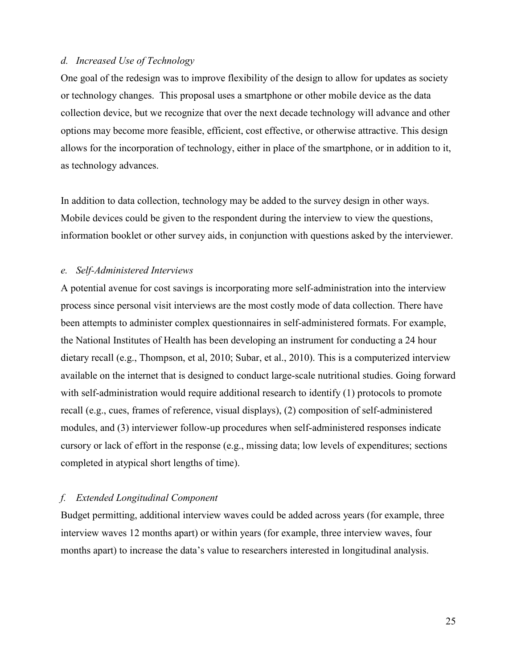#### <span id="page-28-0"></span>*d. Increased Use of Technology*

One goal of the redesign was to improve flexibility of the design to allow for updates as society or technology changes. This proposal uses a smartphone or other mobile device as the data collection device, but we recognize that over the next decade technology will advance and other options may become more feasible, efficient, cost effective, or otherwise attractive. This design allows for the incorporation of technology, either in place of the smartphone, or in addition to it, as technology advances.

In addition to data collection, technology may be added to the survey design in other ways. Mobile devices could be given to the respondent during the interview to view the questions, information booklet or other survey aids, in conjunction with questions asked by the interviewer.

#### <span id="page-28-1"></span>*e. Self-Administered Interviews*

A potential avenue for cost savings is incorporating more self-administration into the interview process since personal visit interviews are the most costly mode of data collection. There have been attempts to administer complex questionnaires in self-administered formats. For example, the National Institutes of Health has been developing an instrument for conducting a 24 hour dietary recall (e.g., Thompson, et al, 2010; Subar, et al., 2010). This is a computerized interview available on the internet that is designed to conduct large-scale nutritional studies. Going forward with self-administration would require additional research to identify (1) protocols to promote recall (e.g., cues, frames of reference, visual displays), (2) composition of self-administered modules, and (3) interviewer follow-up procedures when self-administered responses indicate cursory or lack of effort in the response (e.g., missing data; low levels of expenditures; sections completed in atypical short lengths of time).

#### <span id="page-28-2"></span>*f. Extended Longitudinal Component*

Budget permitting, additional interview waves could be added across years (for example, three interview waves 12 months apart) or within years (for example, three interview waves, four months apart) to increase the data's value to researchers interested in longitudinal analysis.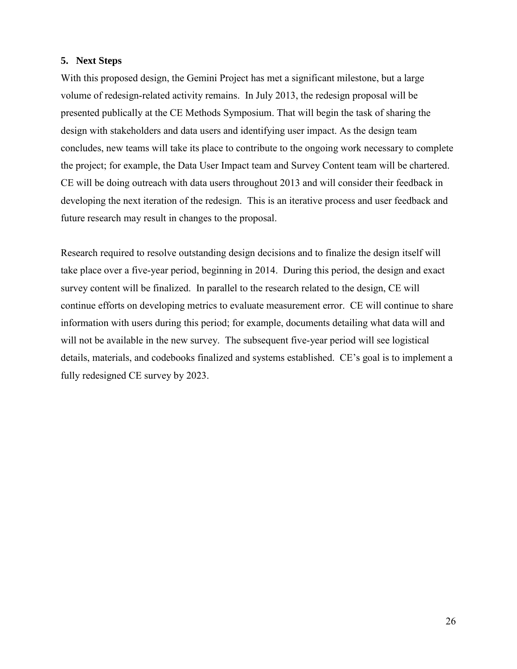## <span id="page-29-0"></span>**5. Next Steps**

With this proposed design, the Gemini Project has met a significant milestone, but a large volume of redesign-related activity remains. In July 2013, the redesign proposal will be presented publically at the CE Methods Symposium. That will begin the task of sharing the design with stakeholders and data users and identifying user impact. As the design team concludes, new teams will take its place to contribute to the ongoing work necessary to complete the project; for example, the Data User Impact team and Survey Content team will be chartered. CE will be doing outreach with data users throughout 2013 and will consider their feedback in developing the next iteration of the redesign. This is an iterative process and user feedback and future research may result in changes to the proposal.

Research required to resolve outstanding design decisions and to finalize the design itself will take place over a five-year period, beginning in 2014. During this period, the design and exact survey content will be finalized. In parallel to the research related to the design, CE will continue efforts on developing metrics to evaluate measurement error. CE will continue to share information with users during this period; for example, documents detailing what data will and will not be available in the new survey. The subsequent five-year period will see logistical details, materials, and codebooks finalized and systems established. CE's goal is to implement a fully redesigned CE survey by 2023.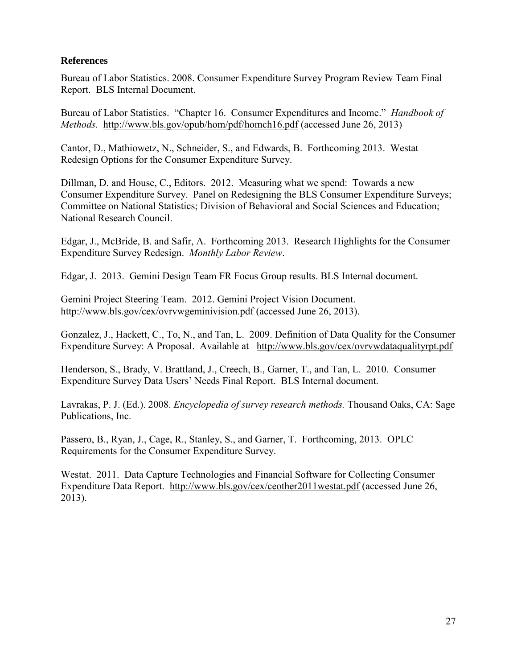## **References**

Bureau of Labor Statistics. 2008. Consumer Expenditure Survey Program Review Team Final Report. BLS Internal Document.

Bureau of Labor Statistics. "Chapter 16. Consumer Expenditures and Income." *Handbook of Methods.* <http://www.bls.gov/opub/hom/pdf/homch16.pdf> (accessed June 26, 2013)

Cantor, D., Mathiowetz, N., Schneider, S., and Edwards, B. Forthcoming 2013. Westat Redesign Options for the Consumer Expenditure Survey.

Dillman, D. and House, C., Editors. 2012. Measuring what we spend: Towards a new Consumer Expenditure Survey. Panel on Redesigning the BLS Consumer Expenditure Surveys; Committee on National Statistics; Division of Behavioral and Social Sciences and Education; National Research Council.

Edgar, J., McBride, B. and Safir, A. Forthcoming 2013. Research Highlights for the Consumer Expenditure Survey Redesign. *Monthly Labor Review*.

Edgar, J. 2013. Gemini Design Team FR Focus Group results. BLS Internal document.

Gemini Project Steering Team. 2012. Gemini Project Vision Document. <http://www.bls.gov/cex/ovrvwgeminivision.pdf> (accessed June 26, 2013).

Gonzalez, J., Hackett, C., To, N., and Tan, L. 2009. Definition of Data Quality for the Consumer Expenditure Survey: A Proposal. Available at http://www.bls.gov/cex/ovrvwdataqualityrpt.pdf

Henderson, S., Brady, V. Brattland, J., Creech, B., Garner, T., and Tan, L. 2010. Consumer Expenditure Survey Data Users' Needs Final Report. BLS Internal document.

Lavrakas, P. J. (Ed.). 2008. *Encyclopedia of survey research methods.* Thousand Oaks, CA: Sage Publications, Inc.

Passero, B., Ryan, J., Cage, R., Stanley, S., and Garner, T. Forthcoming, 2013. OPLC Requirements for the Consumer Expenditure Survey.

Westat. 2011. Data Capture Technologies and Financial Software for Collecting Consumer Expenditure Data Report. <http://www.bls.gov/cex/ceother2011westat.pdf> (accessed June 26, 2013).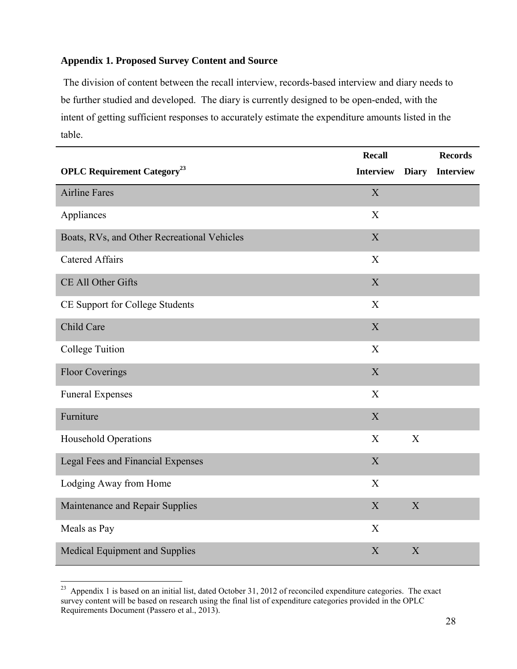# <span id="page-31-0"></span>**Appendix 1. Proposed Survey Content and Source**

The division of content between the recall interview, records-based interview and diary needs to be further studied and developed. The diary is currently designed to be open-ended, with the intent of getting sufficient responses to accurately estimate the expenditure amounts listed in the table.

|                                                | <b>Recall</b>    |                           | <b>Records</b>   |
|------------------------------------------------|------------------|---------------------------|------------------|
| <b>OPLC Requirement Category</b> <sup>23</sup> | <b>Interview</b> | <b>Diary</b>              | <b>Interview</b> |
| <b>Airline Fares</b>                           | $\mathbf X$      |                           |                  |
| Appliances                                     | X                |                           |                  |
| Boats, RVs, and Other Recreational Vehicles    | X                |                           |                  |
| <b>Catered Affairs</b>                         | X                |                           |                  |
| CE All Other Gifts                             | X                |                           |                  |
| CE Support for College Students                | X                |                           |                  |
| Child Care                                     | $\mathbf X$      |                           |                  |
| <b>College Tuition</b>                         | X                |                           |                  |
| <b>Floor Coverings</b>                         | $\mathbf X$      |                           |                  |
| <b>Funeral Expenses</b>                        | $\mathbf X$      |                           |                  |
| Furniture                                      | $\mathbf X$      |                           |                  |
| Household Operations                           | X                | $\boldsymbol{\mathrm{X}}$ |                  |
| Legal Fees and Financial Expenses              | X                |                           |                  |
| Lodging Away from Home                         | $\mathbf X$      |                           |                  |
| Maintenance and Repair Supplies                | X                | $\boldsymbol{\mathrm{X}}$ |                  |
| Meals as Pay                                   | X                |                           |                  |
| Medical Equipment and Supplies                 | X                | $\overline{X}$            |                  |

<sup>&</sup>lt;sup>23</sup> Appendix 1 is based on an initial list, dated October 31, 2012 of reconciled expenditure categories. The exact survey content will be based on research using the final list of expenditure categories provided in the OPLC Requirements Document (Passero et al., 2013).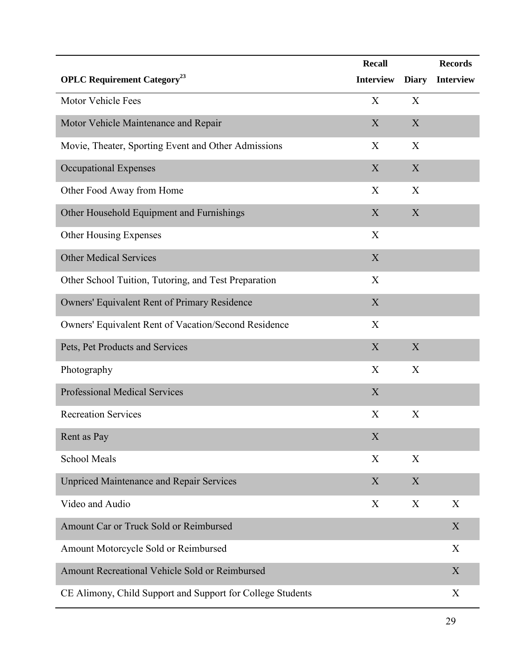|                                                            | <b>Recall</b>    |              | <b>Records</b>   |
|------------------------------------------------------------|------------------|--------------|------------------|
| <b>OPLC Requirement Category</b> <sup>23</sup>             | <b>Interview</b> | <b>Diary</b> | <b>Interview</b> |
| Motor Vehicle Fees                                         | X                | X            |                  |
| Motor Vehicle Maintenance and Repair                       | X                | X            |                  |
| Movie, Theater, Sporting Event and Other Admissions        | X                | X            |                  |
| <b>Occupational Expenses</b>                               | X                | X            |                  |
| Other Food Away from Home                                  | X                | X            |                  |
| Other Household Equipment and Furnishings                  | X                | X            |                  |
| Other Housing Expenses                                     | X                |              |                  |
| <b>Other Medical Services</b>                              | X                |              |                  |
| Other School Tuition, Tutoring, and Test Preparation       | X                |              |                  |
| Owners' Equivalent Rent of Primary Residence               | X                |              |                  |
| Owners' Equivalent Rent of Vacation/Second Residence       | X                |              |                  |
| Pets, Pet Products and Services                            | $\mathbf X$      | X            |                  |
| Photography                                                | X                | X            |                  |
| <b>Professional Medical Services</b>                       | $\mathbf X$      |              |                  |
| <b>Recreation Services</b>                                 | X                | X            |                  |
| Rent as Pay                                                | X                |              |                  |
| <b>School Meals</b>                                        | X                | X            |                  |
| <b>Unpriced Maintenance and Repair Services</b>            | X                | X            |                  |
| Video and Audio                                            | X                | X            | X                |
| Amount Car or Truck Sold or Reimbursed                     |                  |              | X                |
| Amount Motorcycle Sold or Reimbursed                       |                  |              | X                |
| Amount Recreational Vehicle Sold or Reimbursed             |                  |              | X                |
| CE Alimony, Child Support and Support for College Students |                  |              | X                |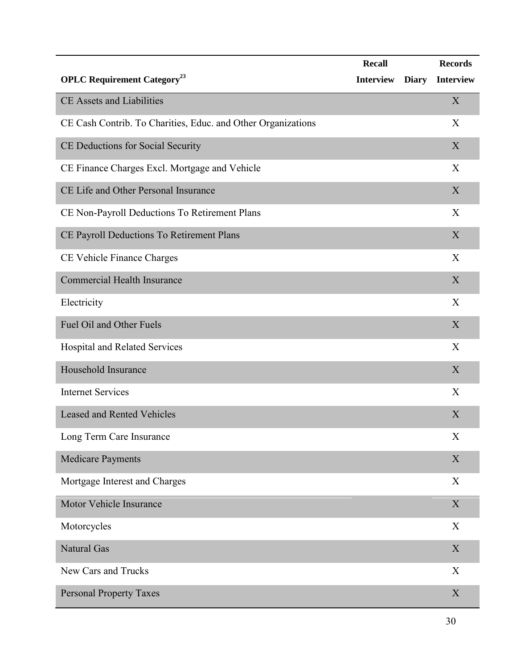|                                                              | <b>Recall</b>    |              | <b>Records</b>   |
|--------------------------------------------------------------|------------------|--------------|------------------|
| <b>OPLC Requirement Category</b> <sup>23</sup>               | <b>Interview</b> | <b>Diary</b> | <b>Interview</b> |
| <b>CE Assets and Liabilities</b>                             |                  |              | X                |
| CE Cash Contrib. To Charities, Educ. and Other Organizations |                  |              | X                |
| CE Deductions for Social Security                            |                  |              | X                |
| CE Finance Charges Excl. Mortgage and Vehicle                |                  |              | X                |
| CE Life and Other Personal Insurance                         |                  |              | X                |
| CE Non-Payroll Deductions To Retirement Plans                |                  |              | X                |
| CE Payroll Deductions To Retirement Plans                    |                  |              | X                |
| CE Vehicle Finance Charges                                   |                  |              | X                |
| <b>Commercial Health Insurance</b>                           |                  |              | X                |
| Electricity                                                  |                  |              | X                |
| Fuel Oil and Other Fuels                                     |                  |              | X                |
| Hospital and Related Services                                |                  |              | X                |
| Household Insurance                                          |                  |              | X                |
| <b>Internet Services</b>                                     |                  |              | X                |
| <b>Leased and Rented Vehicles</b>                            |                  |              | X                |
| Long Term Care Insurance                                     |                  |              | X                |
| <b>Medicare Payments</b>                                     |                  |              | X                |
| Mortgage Interest and Charges                                |                  |              | $\boldsymbol{X}$ |
| Motor Vehicle Insurance                                      |                  |              | X                |
| Motorcycles                                                  |                  |              | X                |
| <b>Natural Gas</b>                                           |                  |              | X                |
| New Cars and Trucks                                          |                  |              | X                |
| <b>Personal Property Taxes</b>                               |                  |              | X                |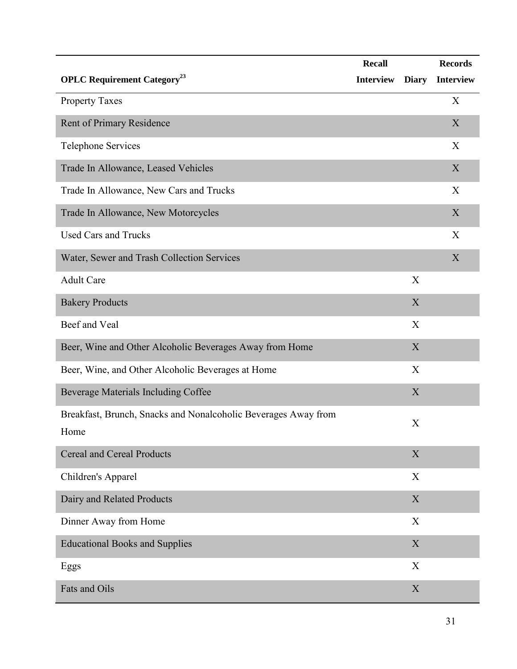|                                                                        | <b>Recall</b>    |              | <b>Records</b>   |
|------------------------------------------------------------------------|------------------|--------------|------------------|
| <b>OPLC Requirement Category</b> <sup>23</sup>                         | <b>Interview</b> | <b>Diary</b> | <b>Interview</b> |
| <b>Property Taxes</b>                                                  |                  |              | X                |
| Rent of Primary Residence                                              |                  |              | X                |
| <b>Telephone Services</b>                                              |                  |              | X                |
| Trade In Allowance, Leased Vehicles                                    |                  |              | X                |
| Trade In Allowance, New Cars and Trucks                                |                  |              | X                |
| Trade In Allowance, New Motorcycles                                    |                  |              | X                |
| <b>Used Cars and Trucks</b>                                            |                  |              | X                |
| Water, Sewer and Trash Collection Services                             |                  |              | $\mathbf X$      |
| <b>Adult Care</b>                                                      |                  | X            |                  |
| <b>Bakery Products</b>                                                 |                  | X            |                  |
| Beef and Veal                                                          |                  | X            |                  |
| Beer, Wine and Other Alcoholic Beverages Away from Home                |                  | X            |                  |
| Beer, Wine, and Other Alcoholic Beverages at Home                      |                  | X            |                  |
| Beverage Materials Including Coffee                                    |                  | X            |                  |
| Breakfast, Brunch, Snacks and Nonalcoholic Beverages Away from<br>Home |                  | X            |                  |
| <b>Cereal and Cereal Products</b>                                      |                  | X            |                  |
| Children's Apparel                                                     |                  | X            |                  |
| Dairy and Related Products                                             |                  | X            |                  |
| Dinner Away from Home                                                  |                  | X            |                  |
| <b>Educational Books and Supplies</b>                                  |                  | $\mathbf X$  |                  |
| Eggs                                                                   |                  | X            |                  |
| Fats and Oils                                                          |                  | X            |                  |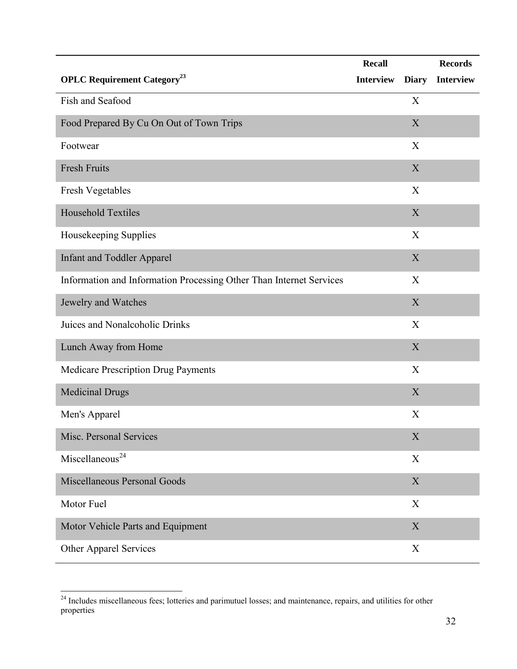|                                                                     | <b>Recall</b>    |                           | <b>Records</b>   |
|---------------------------------------------------------------------|------------------|---------------------------|------------------|
| <b>OPLC Requirement Category</b> <sup>23</sup>                      | <b>Interview</b> | <b>Diary</b>              | <b>Interview</b> |
| Fish and Seafood                                                    |                  | X                         |                  |
| Food Prepared By Cu On Out of Town Trips                            |                  | X                         |                  |
| Footwear                                                            |                  | $\boldsymbol{\mathrm{X}}$ |                  |
| <b>Fresh Fruits</b>                                                 |                  | $\boldsymbol{X}$          |                  |
| Fresh Vegetables                                                    |                  | X                         |                  |
| Household Textiles                                                  |                  | $\mathbf X$               |                  |
| Housekeeping Supplies                                               |                  | X                         |                  |
| <b>Infant and Toddler Apparel</b>                                   |                  | $\boldsymbol{X}$          |                  |
| Information and Information Processing Other Than Internet Services |                  | X                         |                  |
| Jewelry and Watches                                                 |                  | $\mathbf X$               |                  |
| Juices and Nonalcoholic Drinks                                      |                  | X                         |                  |
| Lunch Away from Home                                                |                  | $\mathbf X$               |                  |
| Medicare Prescription Drug Payments                                 |                  | $\boldsymbol{\mathrm{X}}$ |                  |
| <b>Medicinal Drugs</b>                                              |                  | X                         |                  |
| Men's Apparel                                                       |                  | X                         |                  |
| Misc. Personal Services                                             |                  | $\mathbf X$               |                  |
| Miscellaneous <sup>24</sup>                                         |                  | $\mathbf X$               |                  |
| Miscellaneous Personal Goods                                        |                  | $\mathbf X$               |                  |
| Motor Fuel                                                          |                  | X                         |                  |
| Motor Vehicle Parts and Equipment                                   |                  | X                         |                  |
| Other Apparel Services                                              |                  | X                         |                  |

 $\overline{a}$ 

<sup>&</sup>lt;sup>24</sup> Includes miscellaneous fees; lotteries and parimutuel losses; and maintenance, repairs, and utilities for other properties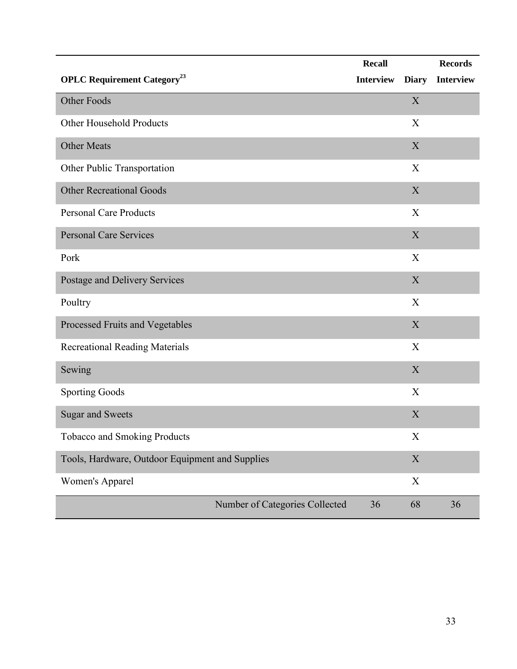|                                                 | Recall                               |              | <b>Records</b>   |
|-------------------------------------------------|--------------------------------------|--------------|------------------|
| <b>OPLC Requirement Category</b> <sup>23</sup>  | <b>Interview</b>                     | <b>Diary</b> | <b>Interview</b> |
| Other Foods                                     |                                      | $\mathbf X$  |                  |
| Other Household Products                        |                                      | X            |                  |
| <b>Other Meats</b>                              |                                      | X            |                  |
| Other Public Transportation                     |                                      | X            |                  |
| <b>Other Recreational Goods</b>                 |                                      | X            |                  |
| <b>Personal Care Products</b>                   |                                      | X            |                  |
| <b>Personal Care Services</b>                   |                                      | X            |                  |
| Pork                                            |                                      | X            |                  |
| Postage and Delivery Services                   |                                      | X            |                  |
| Poultry                                         |                                      | X            |                  |
| Processed Fruits and Vegetables                 |                                      | X            |                  |
| <b>Recreational Reading Materials</b>           |                                      | X            |                  |
| Sewing                                          |                                      | X            |                  |
| <b>Sporting Goods</b>                           |                                      | X            |                  |
| <b>Sugar and Sweets</b>                         |                                      | X            |                  |
| <b>Tobacco and Smoking Products</b>             |                                      | $\mathbf X$  |                  |
| Tools, Hardware, Outdoor Equipment and Supplies |                                      | $\mathbf X$  |                  |
| Women's Apparel                                 |                                      | $\mathbf X$  |                  |
|                                                 | Number of Categories Collected<br>36 | 68           | 36               |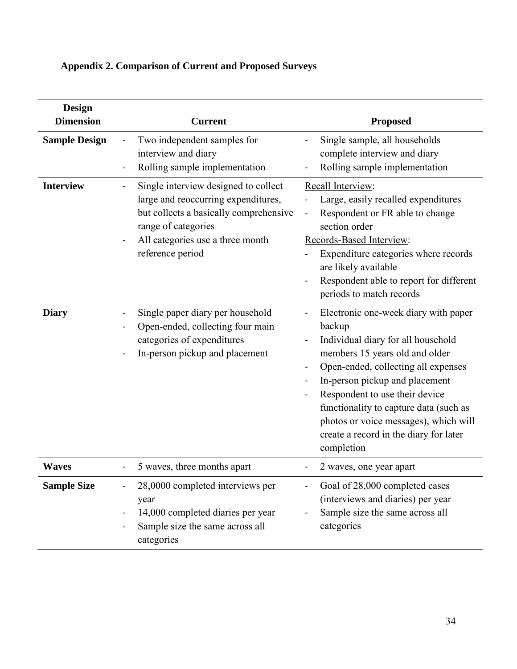| <b>Design</b><br><b>Dimension</b> | <b>Current</b>                                                                                                                                                                                       | <b>Proposed</b>                                                                                                                                                                                                                                                                                                                                                              |
|-----------------------------------|------------------------------------------------------------------------------------------------------------------------------------------------------------------------------------------------------|------------------------------------------------------------------------------------------------------------------------------------------------------------------------------------------------------------------------------------------------------------------------------------------------------------------------------------------------------------------------------|
| <b>Sample Design</b>              | Two independent samples for<br>interview and diary<br>Rolling sample implementation                                                                                                                  | Single sample, all households<br>complete interview and diary<br>Rolling sample implementation                                                                                                                                                                                                                                                                               |
| <b>Interview</b>                  | Single interview designed to collect<br>large and reoccurring expenditures,<br>but collects a basically comprehensive<br>range of categories<br>All categories use a three month<br>reference period | Recall Interview:<br>Large, easily recalled expenditures<br>Respondent or FR able to change<br>section order<br>Records-Based Interview:<br>Expenditure categories where records<br>are likely available<br>Respondent able to report for different<br>periods to match records                                                                                              |
| <b>Diary</b>                      | Single paper diary per household<br>Open-ended, collecting four main<br>categories of expenditures<br>In-person pickup and placement                                                                 | Electronic one-week diary with paper<br>backup<br>Individual diary for all household<br>members 15 years old and older<br>Open-ended, collecting all expenses<br>In-person pickup and placement<br>Respondent to use their device<br>functionality to capture data (such as<br>photos or voice messages), which will<br>create a record in the diary for later<br>completion |
| <b>Waves</b>                      | 5 waves, three months apart                                                                                                                                                                          | 2 waves, one year apart                                                                                                                                                                                                                                                                                                                                                      |
| <b>Sample Size</b>                | 28,0000 completed interviews per<br>year<br>14,000 completed diaries per year<br>Sample size the same across all<br>categories                                                                       | Goal of 28,000 completed cases<br>(interviews and diaries) per year<br>Sample size the same across all<br>categories                                                                                                                                                                                                                                                         |

# <span id="page-37-0"></span>**Appendix 2. Comparison of Current and Proposed Surveys**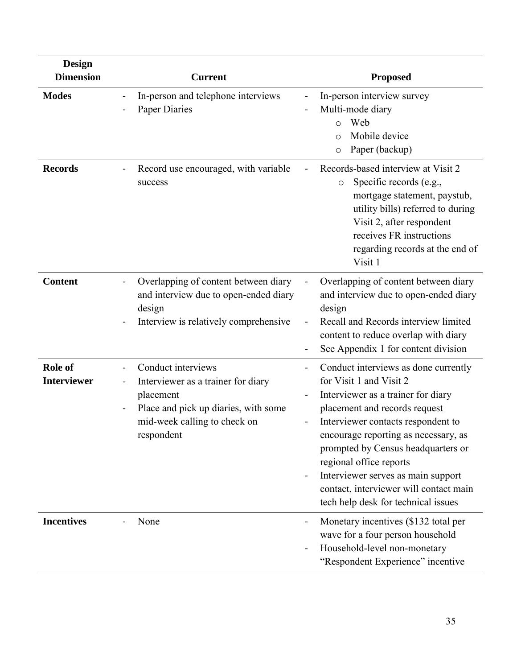| <b>Design</b><br><b>Dimension</b> | <b>Current</b>                                                                                                                                              | <b>Proposed</b>                                                                                                                                                                                                                                                                                                                                                                                                                |
|-----------------------------------|-------------------------------------------------------------------------------------------------------------------------------------------------------------|--------------------------------------------------------------------------------------------------------------------------------------------------------------------------------------------------------------------------------------------------------------------------------------------------------------------------------------------------------------------------------------------------------------------------------|
| <b>Modes</b>                      | In-person and telephone interviews<br><b>Paper Diaries</b>                                                                                                  | In-person interview survey<br>Multi-mode diary<br>Web<br>$\circ$<br>Mobile device<br>$\circ$<br>Paper (backup)<br>$\circ$                                                                                                                                                                                                                                                                                                      |
| <b>Records</b>                    | Record use encouraged, with variable<br>$\qquad \qquad \blacksquare$<br>success                                                                             | Records-based interview at Visit 2<br>Specific records (e.g.,<br>O<br>mortgage statement, paystub,<br>utility bills) referred to during<br>Visit 2, after respondent<br>receives FR instructions<br>regarding records at the end of<br>Visit 1                                                                                                                                                                                 |
| <b>Content</b>                    | Overlapping of content between diary<br>and interview due to open-ended diary<br>design<br>Interview is relatively comprehensive                            | Overlapping of content between diary<br>and interview due to open-ended diary<br>design<br>Recall and Records interview limited<br>content to reduce overlap with diary<br>See Appendix 1 for content division                                                                                                                                                                                                                 |
| Role of<br><b>Interviewer</b>     | Conduct interviews<br>Interviewer as a trainer for diary<br>placement<br>Place and pick up diaries, with some<br>mid-week calling to check on<br>respondent | Conduct interviews as done currently<br>$\blacksquare$<br>for Visit 1 and Visit 2<br>Interviewer as a trainer for diary<br>placement and records request<br>Interviewer contacts respondent to<br>encourage reporting as necessary, as<br>prompted by Census headquarters or<br>regional office reports<br>Interviewer serves as main support<br>contact, interviewer will contact main<br>tech help desk for technical issues |
| <b>Incentives</b>                 | None                                                                                                                                                        | Monetary incentives (\$132 total per<br>wave for a four person household<br>Household-level non-monetary<br>"Respondent Experience" incentive                                                                                                                                                                                                                                                                                  |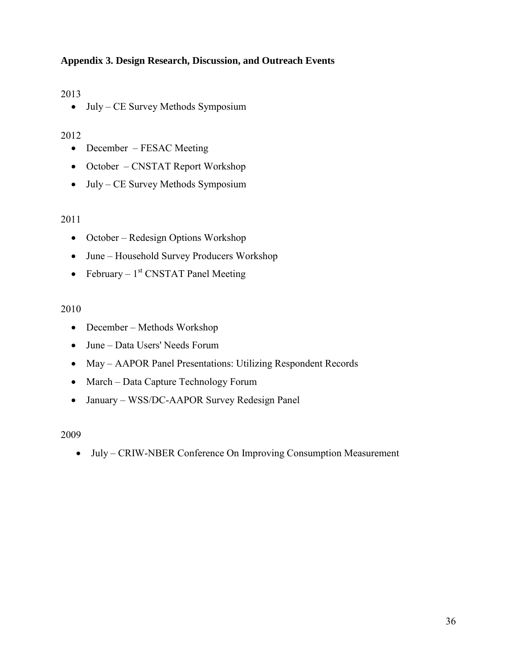# <span id="page-39-0"></span>**Appendix 3. Design Research, Discussion, and Outreach Events**

## 2013

• July – CE Survey Methods Symposium

## 2012

- December FESAC Meeting
- October CNSTAT Report Workshop
- July CE Survey Methods Symposium

## 2011

- October Redesign Options Workshop
- June Household Survey Producers Workshop
- February  $1<sup>st</sup>$  CNSTAT Panel Meeting

## 2010

- December Methods Workshop
- June Data Users' Needs Forum
- May AAPOR Panel Presentations: Utilizing Respondent Records
- March Data Capture Technology Forum
- January WSS/DC-AAPOR Survey Redesign Panel

## 2009

July – CRIW-NBER Conference On Improving Consumption Measurement